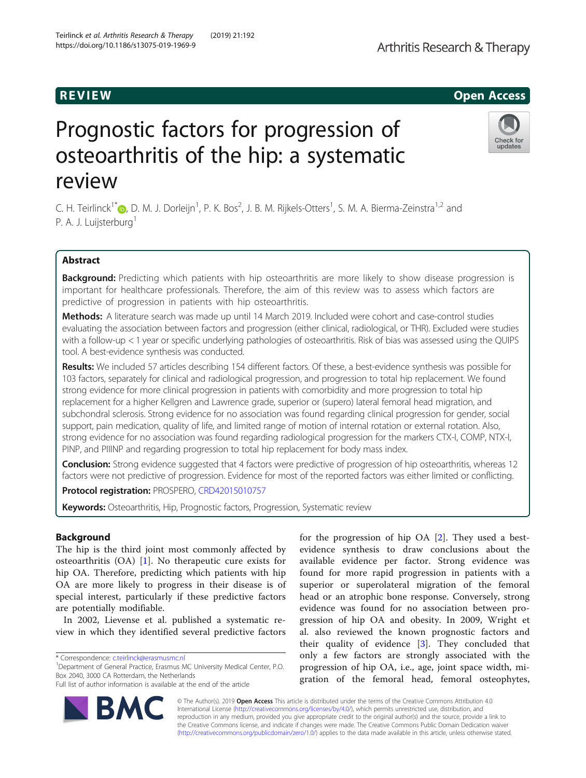# R EVI EW Open Access

# Prognostic factors for progression of osteoarthritis of the hip: a systematic review

C. H. Teirlinck<sup>1\*</sup>®, D. M. J. Dorleijn<sup>1</sup>, P. K. Bos<sup>2</sup>, J. B. M. Rijkels-Otters<sup>1</sup>, S. M. A. Bierma-Zeinstra<sup>1,2</sup> and P. A. J. Luijsterburg<sup>1</sup>

# Abstract

Background: Predicting which patients with hip osteoarthritis are more likely to show disease progression is important for healthcare professionals. Therefore, the aim of this review was to assess which factors are predictive of progression in patients with hip osteoarthritis.

Methods: A literature search was made up until 14 March 2019. Included were cohort and case-control studies evaluating the association between factors and progression (either clinical, radiological, or THR). Excluded were studies with a follow-up < 1 year or specific underlying pathologies of osteoarthritis. Risk of bias was assessed using the QUIPS tool. A best-evidence synthesis was conducted.

Results: We included 57 articles describing 154 different factors. Of these, a best-evidence synthesis was possible for 103 factors, separately for clinical and radiological progression, and progression to total hip replacement. We found strong evidence for more clinical progression in patients with comorbidity and more progression to total hip replacement for a higher Kellgren and Lawrence grade, superior or (supero) lateral femoral head migration, and subchondral sclerosis. Strong evidence for no association was found regarding clinical progression for gender, social support, pain medication, quality of life, and limited range of motion of internal rotation or external rotation. Also, strong evidence for no association was found regarding radiological progression for the markers CTX-I, COMP, NTX-I, PINP, and PIIINP and regarding progression to total hip replacement for body mass index.

**Conclusion:** Strong evidence suggested that 4 factors were predictive of progression of hip osteoarthritis, whereas 12 factors were not predictive of progression. Evidence for most of the reported factors was either limited or conflicting.

Protocol registration: PROSPERO, [CRD42015010757](http://www.crd.york.ac.uk/prospero)

Keywords: Osteoarthritis, Hip, Prognostic factors, Progression, Systematic review

# Background

The hip is the third joint most commonly affected by osteoarthritis (OA) [\[1](#page-17-0)]. No therapeutic cure exists for hip OA. Therefore, predicting which patients with hip OA are more likely to progress in their disease is of special interest, particularly if these predictive factors are potentially modifiable.

In 2002, Lievense et al. published a systematic review in which they identified several predictive factors

<sup>1</sup>Department of General Practice, Erasmus MC University Medical Center, P.O. Box 2040, 3000 CA Rotterdam, the Netherlands

available evidence per factor. Strong evidence was found for more rapid progression in patients with a superior or superolateral migration of the femoral head or an atrophic bone response. Conversely, strong evidence was found for no association between progression of hip OA and obesity. In 2009, Wright et al. also reviewed the known prognostic factors and their quality of evidence [\[3](#page-17-0)]. They concluded that only a few factors are strongly associated with the progression of hip OA, i.e., age, joint space width, migration of the femoral head, femoral osteophytes,

© The Author(s). 2019 **Open Access** This article is distributed under the terms of the Creative Commons Attribution 4.0 International License [\(http://creativecommons.org/licenses/by/4.0/](http://creativecommons.org/licenses/by/4.0/)), which permits unrestricted use, distribution, and reproduction in any medium, provided you give appropriate credit to the original author(s) and the source, provide a link to the Creative Commons license, and indicate if changes were made. The Creative Commons Public Domain Dedication waiver [\(http://creativecommons.org/publicdomain/zero/1.0/](http://creativecommons.org/publicdomain/zero/1.0/)) applies to the data made available in this article, unless otherwise stated.

for the progression of hip OA [[2\]](#page-17-0). They used a bestevidence synthesis to draw conclusions about the







<sup>\*</sup> Correspondence: [c.teirlinck@erasmusmc.nl](mailto:c.teirlinck@erasmusmc.nl) <sup>1</sup>

Full list of author information is available at the end of the article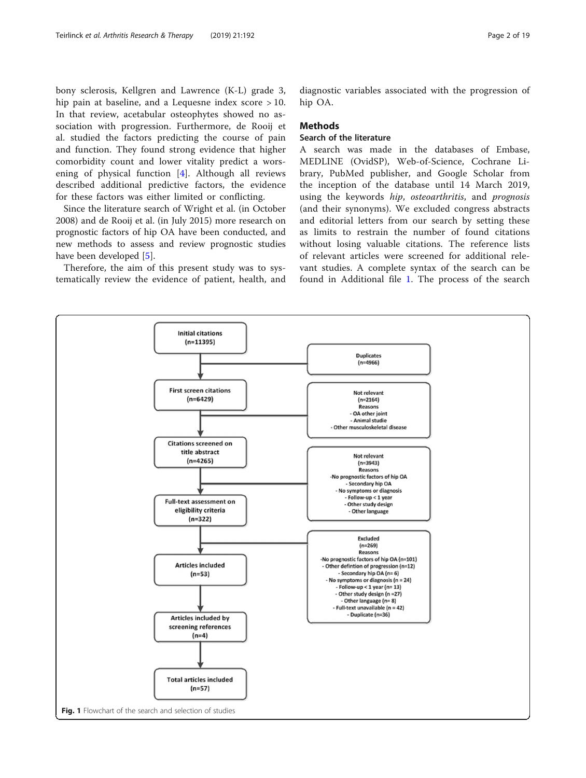<span id="page-1-0"></span>bony sclerosis, Kellgren and Lawrence (K-L) grade 3, hip pain at baseline, and a Lequesne index score > 10. In that review, acetabular osteophytes showed no association with progression. Furthermore, de Rooij et al. studied the factors predicting the course of pain and function. They found strong evidence that higher comorbidity count and lower vitality predict a worsening of physical function [[4\]](#page-17-0). Although all reviews described additional predictive factors, the evidence for these factors was either limited or conflicting.

Since the literature search of Wright et al. (in October 2008) and de Rooij et al. (in July 2015) more research on prognostic factors of hip OA have been conducted, and new methods to assess and review prognostic studies have been developed [[5\]](#page-17-0).

Therefore, the aim of this present study was to systematically review the evidence of patient, health, and

diagnostic variables associated with the progression of hip OA.

## **Methods**

# Search of the literature

A search was made in the databases of Embase, MEDLINE (OvidSP), Web-of-Science, Cochrane Library, PubMed publisher, and Google Scholar from the inception of the database until 14 March 2019, using the keywords *hip*, osteoarthritis, and prognosis (and their synonyms). We excluded congress abstracts and editorial letters from our search by setting these as limits to restrain the number of found citations without losing valuable citations. The reference lists of relevant articles were screened for additional relevant studies. A complete syntax of the search can be found in Additional file [1.](#page-16-0) The process of the search

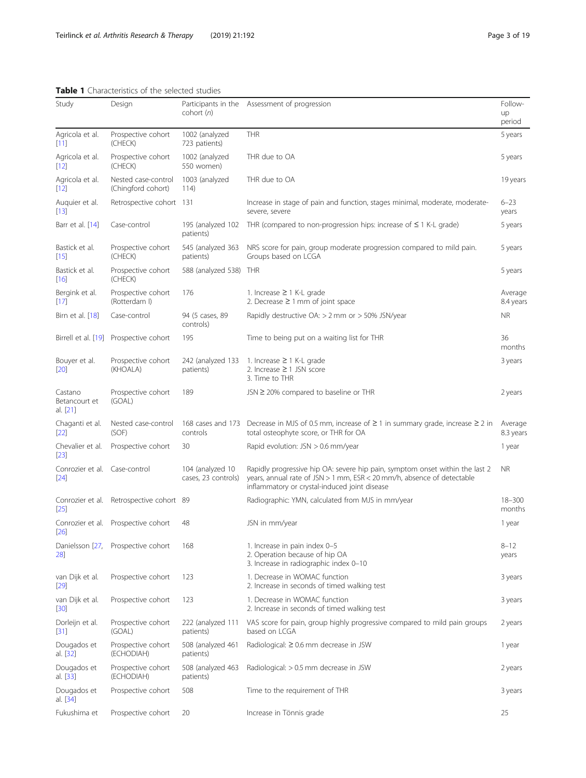# <span id="page-2-0"></span>Table 1 Characteristics of the selected studies

| Study                                   | Design                                    | cohort (n)                              | Participants in the Assessment of progression                                                                                                                                                           |                      |
|-----------------------------------------|-------------------------------------------|-----------------------------------------|---------------------------------------------------------------------------------------------------------------------------------------------------------------------------------------------------------|----------------------|
| Agricola et al.<br>[11]                 | Prospective cohort<br>(CHECK)             | 1002 (analyzed<br>723 patients)         | <b>THR</b>                                                                                                                                                                                              | 5 years              |
| Agricola et al.<br>[12]                 | Prospective cohort<br>(CHECK)             | 1002 (analyzed<br>550 women)            | THR due to OA                                                                                                                                                                                           | 5 years              |
| Agricola et al.<br>[12]                 | Nested case-control<br>(Chingford cohort) | 1003 (analyzed<br>114)                  | THR due to OA                                                                                                                                                                                           | 19 years             |
| Auquier et al.<br>$[13]$                | Retrospective cohort 131                  |                                         | Increase in stage of pain and function, stages minimal, moderate, moderate-<br>severe, severe                                                                                                           | $6 - 23$<br>years    |
| Barr et al. [14]                        | Case-control                              | 195 (analyzed 102<br>patients)          | THR (compared to non-progression hips: increase of $\leq$ 1 K-L grade)                                                                                                                                  | 5 years              |
| Bastick et al.<br>[15]                  | Prospective cohort<br>(CHECK)             | 545 (analyzed 363<br>patients)          | NRS score for pain, group moderate progression compared to mild pain.<br>Groups based on LCGA                                                                                                           | 5 years              |
| Bastick et al.<br>$[16]$                | Prospective cohort<br>(CHECK)             | 588 (analyzed 538) THR                  |                                                                                                                                                                                                         | 5 years              |
| Bergink et al.<br>[17]                  | Prospective cohort<br>(Rotterdam I)       | 176                                     | 1. Increase $\geq$ 1 K-L grade<br>2. Decrease $\geq$ 1 mm of joint space                                                                                                                                | Average<br>8.4 years |
| Birn et al. [18]                        | Case-control                              | 94 (5 cases, 89<br>controls)            | Rapidly destructive OA: > 2 mm or > 50% JSN/year                                                                                                                                                        | <b>NR</b>            |
| Birrell et al. [19]                     | Prospective cohort                        | 195                                     | Time to being put on a waiting list for THR                                                                                                                                                             | 36<br>months         |
| Bouyer et al.<br>[20]                   | Prospective cohort<br>(KHOALA)            | 242 (analyzed 133<br>patients)          | 1. Increase ≥ 1 K-L grade<br>2. Increase $\geq$ 1 JSN score<br>3. Time to THR                                                                                                                           | 3 years              |
| Castano<br>Betancourt et<br>al. [21]    | Prospective cohort<br>(GOAL)              | 189                                     | $JSN \geq 20\%$ compared to baseline or THR                                                                                                                                                             | 2 years              |
| Chaganti et al.<br>$[22]$               | Nested case-control<br>(SOF)              | 168 cases and 173<br>controls           | Decrease in MJS of 0.5 mm, increase of $\geq$ 1 in summary grade, increase $\geq$ 2 in<br>total osteophyte score, or THR for OA                                                                         | Average<br>8.3 years |
| Chevalier et al.<br>$[23]$              | Prospective cohort                        | 30                                      | Rapid evolution: JSN > 0.6 mm/year                                                                                                                                                                      | 1 year               |
| Conrozier et al. Case-control<br>$[24]$ |                                           | 104 (analyzed 10<br>cases, 23 controls) | Rapidly progressive hip OA: severe hip pain, symptom onset within the last 2<br>years, annual rate of JSN > 1 mm, ESR < 20 mm/h, absence of detectable<br>inflammatory or crystal-induced joint disease | <b>NR</b>            |
| Conrozier et al.<br>$[25]$              | Retrospective cohort 89                   |                                         | Radiographic: YMN, calculated from MJS in mm/year                                                                                                                                                       | $18 - 300$<br>months |
| Conrozier et al.<br>$[26]$              | Prospective cohort                        | 48                                      | JSN in mm/year                                                                                                                                                                                          | 1 year               |
| 28                                      | Danielsson [27, Prospective cohort        | 168                                     | 1. Increase in pain index 0-5<br>2. Operation because of hip OA<br>3. Increase in radiographic index 0-10                                                                                               | $8 - 12$<br>years    |
| van Dijk et al.<br>$[29]$               | Prospective cohort                        | 123                                     | 1. Decrease in WOMAC function<br>2. Increase in seconds of timed walking test                                                                                                                           | 3 years              |
| van Dijk et al.<br>$[30]$               | Prospective cohort                        | 123                                     | 1. Decrease in WOMAC function<br>2. Increase in seconds of timed walking test                                                                                                                           | 3 years              |
| Dorleijn et al.<br>$[31]$               | Prospective cohort<br>(GOAL)              | 222 (analyzed 111<br>patients)          | VAS score for pain, group highly progressive compared to mild pain groups<br>based on LCGA                                                                                                              | 2 years              |
| Dougados et<br>al. [32]                 | Prospective cohort<br>(ECHODIAH)          | 508 (analyzed 461<br>patients)          | Radiological: $\geq$ 0.6 mm decrease in JSW                                                                                                                                                             | 1 year               |
| Dougados et<br>al. [33]                 | Prospective cohort<br>(ECHODIAH)          | 508 (analyzed 463<br>patients)          | Radiological: > 0.5 mm decrease in JSW                                                                                                                                                                  | 2 years              |
| Dougados et<br>al. [34]                 | Prospective cohort                        | 508                                     | Time to the requirement of THR                                                                                                                                                                          | 3 years              |
| Fukushima et                            | Prospective cohort                        | 20                                      | Increase in Tönnis grade                                                                                                                                                                                | 25                   |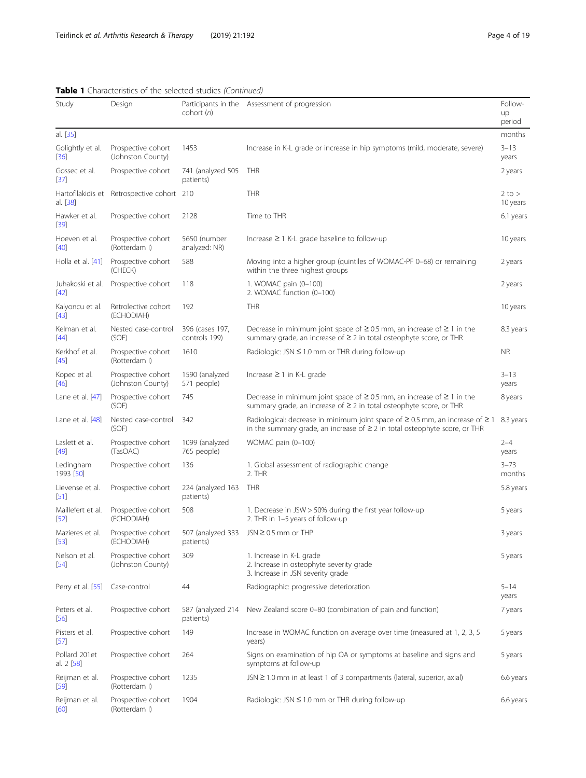# Table 1 Characteristics of the selected studies (Continued)

| Study                       | Design                                     | cohort $(n)$                     | Participants in the Assessment of progression                                                                                                                              | Follow-<br>up<br>period |
|-----------------------------|--------------------------------------------|----------------------------------|----------------------------------------------------------------------------------------------------------------------------------------------------------------------------|-------------------------|
| al. [35]                    |                                            |                                  |                                                                                                                                                                            | months                  |
| Golightly et al.<br>[36]    | Prospective cohort<br>(Johnston County)    | 1453                             | Increase in K-L grade or increase in hip symptoms (mild, moderate, severe)                                                                                                 | $3 - 13$<br>years       |
| Gossec et al.<br>$[37]$     | Prospective cohort                         | 741 (analyzed 505<br>patients)   | THR                                                                                                                                                                        | 2 years                 |
| al. [38]                    | Hartofilakidis et Retrospective cohort 210 |                                  | <b>THR</b>                                                                                                                                                                 | $2$ to $>$<br>10 years  |
| Hawker et al.<br>$[39]$     | Prospective cohort                         | 2128                             | Time to THR                                                                                                                                                                | 6.1 years               |
| Hoeven et al.<br>$[40]$     | Prospective cohort<br>(Rotterdam I)        | 5650 (number<br>analyzed: NR)    | Increase ≥ 1 K-L grade baseline to follow-up                                                                                                                               | 10 years                |
| Holla et al. [41]           | Prospective cohort<br>(CHECK)              | 588                              | Moving into a higher group (quintiles of WOMAC-PF 0–68) or remaining<br>within the three highest groups                                                                    | 2 years                 |
| Juhakoski et al.<br>$[42]$  | Prospective cohort                         | 118                              | 1. WOMAC pain (0-100)<br>2. WOMAC function (0-100)                                                                                                                         | 2 years                 |
| Kalyoncu et al.<br>$[43]$   | Retrolective cohort<br>(ECHODIAH)          | 192                              | <b>THR</b>                                                                                                                                                                 |                         |
| Kelman et al.<br>[44]       | Nested case-control<br>(SOF)               | 396 (cases 197,<br>controls 199) | Decrease in minimum joint space of $\geq$ 0.5 mm, an increase of $\geq$ 1 in the<br>summary grade, an increase of $\geq$ 2 in total osteophyte score, or THR               |                         |
| Kerkhof et al.<br>[45]      | Prospective cohort<br>(Rotterdam I)        | 1610                             | Radiologic: JSN $\leq$ 1.0 mm or THR during follow-up                                                                                                                      | <b>NR</b>               |
| Kopec et al.<br>[46]        | Prospective cohort<br>(Johnston County)    | 1590 (analyzed<br>571 people)    | Increase $\geq$ 1 in K-L grade                                                                                                                                             | $3 - 13$<br>years       |
| Lane et al. $[47]$          | Prospective cohort<br>(SOF)                | 745                              | Decrease in minimum joint space of $\geq$ 0.5 mm, an increase of $\geq$ 1 in the<br>summary grade, an increase of $\geq$ 2 in total osteophyte score, or THR               | 8 years                 |
| Lane et al. $[48]$          | Nested case-control<br>(SOF)               | 342                              | Radiological: decrease in minimum joint space of $\geq$ 0.5 mm, an increase of $\geq$ 1<br>in the summary grade, an increase of $\geq$ 2 in total osteophyte score, or THR | 8.3 years               |
| Laslett et al.<br>$[49]$    | Prospective cohort<br>(TasOAC)             | 1099 (analyzed<br>765 people)    | WOMAC pain (0-100)                                                                                                                                                         | $2 - 4$<br>years        |
| Ledingham<br>1993 [50]      | Prospective cohort                         | 136                              | 1. Global assessment of radiographic change<br>2. THR                                                                                                                      | $3 - 73$<br>months      |
| Lievense et al.<br>$[51]$   | Prospective cohort                         | 224 (analyzed 163<br>patients)   | THR                                                                                                                                                                        | 5.8 years               |
| Maillefert et al.<br>$[52]$ | Prospective cohort<br>(ECHODIAH)           | 508                              | 1. Decrease in JSW > 50% during the first year follow-up<br>2. THR in 1-5 years of follow-up                                                                               | 5 years                 |
| Mazieres et al.<br>$[53]$   | Prospective cohort<br>(ECHODIAH)           | patients)                        | 507 (analyzed 333 JSN $\geq$ 0.5 mm or THP                                                                                                                                 | 3 years                 |
| Nelson et al.<br>[54]       | Prospective cohort<br>(Johnston County)    | 309                              | 1. Increase in K-L grade<br>2. Increase in osteophyte severity grade<br>3. Increase in JSN severity grade                                                                  | 5 years                 |
| Perry et al. [55]           | Case-control                               | 44                               | Radiographic: progressive deterioration                                                                                                                                    | $5 - 14$<br>years       |
| Peters et al.<br>[56]       | Prospective cohort                         | 587 (analyzed 214<br>patients)   | New Zealand score 0-80 (combination of pain and function)                                                                                                                  | 7 years                 |
| Pisters et al.<br>$[57]$    | Prospective cohort                         | 149                              | Increase in WOMAC function on average over time (measured at 1, 2, 3, 5<br>years)                                                                                          | 5 years                 |
| Pollard 201et<br>al. 2 [58] | Prospective cohort                         | 264                              | Signs on examination of hip OA or symptoms at baseline and signs and<br>symptoms at follow-up                                                                              | 5 years                 |
| Reijman et al.<br>$[59]$    | Prospective cohort<br>(Rotterdam I)        | 1235                             | $JSN \geq 1.0$ mm in at least 1 of 3 compartments (lateral, superior, axial)                                                                                               | 6.6 years               |
| Reijman et al.<br>[60]      | Prospective cohort<br>(Rotterdam I)        | 1904                             | Radiologic: JSN ≤ 1.0 mm or THR during follow-up                                                                                                                           | 6.6 years               |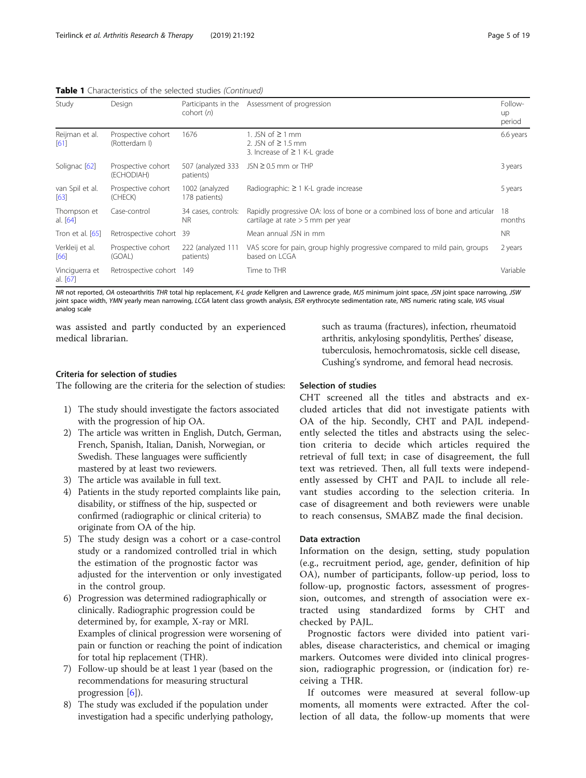| Study                      | Design                              | cohort (n)                       | Participants in the Assessment of progression                                                                        | Follow-<br>up<br>period |
|----------------------------|-------------------------------------|----------------------------------|----------------------------------------------------------------------------------------------------------------------|-------------------------|
| Reijman et al.<br>[61]     | Prospective cohort<br>(Rotterdam I) | 1676                             | 1. JSN of $\geq$ 1 mm<br>2. JSN of $\geq$ 1.5 mm<br>3. Increase of $\geq$ 1 K-L grade                                | 6.6 years               |
| Solignac [62]              | Prospective cohort<br>(ECHODIAH)    | 507 (analyzed 333<br>patients)   | $JSN \geq 0.5$ mm or THP                                                                                             | 3 years                 |
| van Spil et al.<br>[63]    | Prospective cohort<br>(CHECK)       | 1002 (analyzed<br>178 patients)  | Radiographic: $\geq$ 1 K-L grade increase                                                                            | 5 years                 |
| Thompson et<br>al. [64]    | Case-control                        | 34 cases, controls:<br><b>NR</b> | Rapidly progressive OA: loss of bone or a combined loss of bone and articular<br>cartilage at rate $>$ 5 mm per year | 18<br>months            |
| Tron et al. [65]           | Retrospective cohort 39             |                                  | Mean annual JSN in mm                                                                                                | <b>NR</b>               |
| Verkleij et al.<br>[66]    | Prospective cohort<br>(GOAL)        | 222 (analyzed 111<br>patients)   | VAS score for pain, group highly progressive compared to mild pain, groups<br>based on LCGA                          | 2 years                 |
| Vinciquerra et<br>al. [67] | Retrospective cohort 149            |                                  | Time to THR                                                                                                          | Variable                |

NR not reported, OA osteoarthritis THR total hip replacement, K-L grade Kellgren and Lawrence grade, MJS minimum joint space, JSN joint space narrowing, JSW joint space width, YMN yearly mean narrowing, LCGA latent class growth analysis, ESR erythrocyte sedimentation rate, NRS numeric rating scale, VAS visual analog scale

was assisted and partly conducted by an experienced medical librarian.

### Criteria for selection of studies

The following are the criteria for the selection of studies:

- 1) The study should investigate the factors associated with the progression of hip OA.
- 2) The article was written in English, Dutch, German, French, Spanish, Italian, Danish, Norwegian, or Swedish. These languages were sufficiently mastered by at least two reviewers.
- 3) The article was available in full text.
- 4) Patients in the study reported complaints like pain, disability, or stiffness of the hip, suspected or confirmed (radiographic or clinical criteria) to originate from OA of the hip.
- 5) The study design was a cohort or a case-control study or a randomized controlled trial in which the estimation of the prognostic factor was adjusted for the intervention or only investigated in the control group.
- 6) Progression was determined radiographically or clinically. Radiographic progression could be determined by, for example, X-ray or MRI. Examples of clinical progression were worsening of pain or function or reaching the point of indication for total hip replacement (THR).
- 7) Follow-up should be at least 1 year (based on the recommendations for measuring structural progression [[6\]](#page-17-0)).
- 8) The study was excluded if the population under investigation had a specific underlying pathology,

such as trauma (fractures), infection, rheumatoid arthritis, ankylosing spondylitis, Perthes' disease, tuberculosis, hemochromatosis, sickle cell disease, Cushing's syndrome, and femoral head necrosis.

### Selection of studies

CHT screened all the titles and abstracts and excluded articles that did not investigate patients with OA of the hip. Secondly, CHT and PAJL independently selected the titles and abstracts using the selection criteria to decide which articles required the retrieval of full text; in case of disagreement, the full text was retrieved. Then, all full texts were independently assessed by CHT and PAJL to include all relevant studies according to the selection criteria. In case of disagreement and both reviewers were unable to reach consensus, SMABZ made the final decision.

### Data extraction

Information on the design, setting, study population (e.g., recruitment period, age, gender, definition of hip OA), number of participants, follow-up period, loss to follow-up, prognostic factors, assessment of progression, outcomes, and strength of association were extracted using standardized forms by CHT and checked by PAJL.

Prognostic factors were divided into patient variables, disease characteristics, and chemical or imaging markers. Outcomes were divided into clinical progression, radiographic progression, or (indication for) receiving a THR.

If outcomes were measured at several follow-up moments, all moments were extracted. After the collection of all data, the follow-up moments that were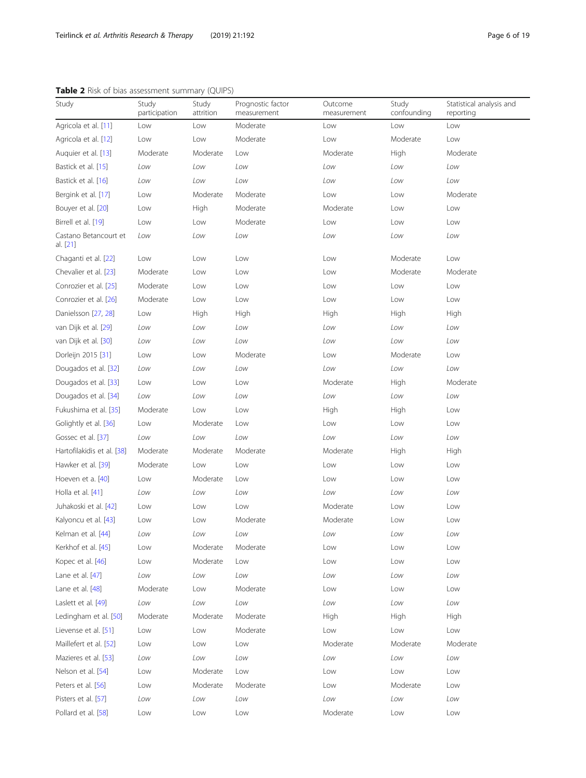<span id="page-5-0"></span>Table 2 Risk of bias assessment summary (QUIPS)

| <b>Table 2</b> HON OF DIAS ASSESSITIETIL SUITIHTIALY (QUIL J) |                        |                    |                                  |                        |                      |                                       |
|---------------------------------------------------------------|------------------------|--------------------|----------------------------------|------------------------|----------------------|---------------------------------------|
| Study                                                         | Study<br>participation | Study<br>attrition | Prognostic factor<br>measurement | Outcome<br>measurement | Study<br>confounding | Statistical analysis and<br>reporting |
| Agricola et al. [11]                                          | Low                    | Low                | Moderate                         | Low                    | Low                  | Low                                   |
| Agricola et al. [12]                                          | Low                    | Low                | Moderate                         | Low                    | Moderate             | Low                                   |
| Auquier et al. [13]                                           | Moderate               | Moderate           | Low                              | Moderate               | High                 | Moderate                              |
| Bastick et al. [15]                                           | Low                    | Low                | Low                              | Low                    | Low                  | Low                                   |
| Bastick et al. [16]                                           | Low                    | Low                | Low                              | Low                    | Low                  | Low                                   |
| Bergink et al. [17]                                           | Low                    | Moderate           | Moderate                         | Low                    | Low                  | Moderate                              |
| Bouyer et al. [20]                                            | Low                    | High               | Moderate                         | Moderate               | Low                  | Low                                   |
| Birrell et al. [19]                                           | Low                    | Low                | Moderate                         | Low                    | Low                  | Low                                   |
| Castano Betancourt et<br>al. [21]                             | Low                    | Low                | Low                              | Low                    | Low                  | Low                                   |
| Chaganti et al. [22]                                          | Low                    | Low                | Low                              | Low                    | Moderate             | Low                                   |
| Chevalier et al. [23]                                         | Moderate               | Low                | Low                              | Low                    | Moderate             | Moderate                              |
| Conrozier et al. [25]                                         | Moderate               | Low                | Low                              | Low                    | Low                  | Low                                   |
| Conrozier et al. [26]                                         | Moderate               | Low                | Low                              | Low                    | Low                  | Low                                   |
| Danielsson [27, 28]                                           | Low                    | High               | High                             | High                   | High                 | High                                  |
| van Dijk et al. [29]                                          | Low                    | Low                | Low                              | Low                    | Low                  | Low                                   |
| van Dijk et al. [30]                                          | Low                    | Low                | Low                              | Low                    | Low                  | Low                                   |
| Dorleijn 2015 [31]                                            | Low                    | Low                | Moderate                         | Low                    | Moderate             | Low                                   |
| Dougados et al. [32]                                          | Low                    | Low                | Low                              | Low                    | Low                  | Low                                   |
| Dougados et al. [33]                                          | Low                    | Low                | Low                              | Moderate               | High                 | Moderate                              |
| Dougados et al. [34]                                          | Low                    | Low                | Low                              | Low                    | Low                  | Low                                   |
| Fukushima et al. [35]                                         | Moderate               | Low                | Low                              | High                   | High                 | Low                                   |
| Golightly et al. [36]                                         | Low                    | Moderate           | Low                              | Low                    | Low                  | Low                                   |
| Gossec et al. [37]                                            | Low                    | Low                | Low                              | Low                    | Low                  | Low                                   |
| Hartofilakidis et al. [38]                                    | Moderate               | Moderate           | Moderate                         | Moderate               | High                 | High                                  |
| Hawker et al. [39]                                            | Moderate               | Low                | Low                              | Low                    | Low                  | Low                                   |
| Hoeven et a. [40]                                             | Low                    | Moderate           | Low                              | Low                    | Low                  | Low                                   |
| Holla et al. [41]                                             | Low                    | Low                | Low                              | Low                    | Low                  | Low                                   |
| Juhakoski et al. [42]                                         | Low                    | Low                | Low                              | Moderate               | Low                  | Low                                   |
| Kalyoncu et al. [43]                                          | Low                    | Low                | Moderate                         | Moderate               | Low                  | Low                                   |
| Kelman et al. [44]                                            | Low                    | Low                | Low                              | Low                    | Low                  | Low                                   |
| Kerkhof et al. [45]                                           | Low                    | Moderate           | Moderate                         | Low                    | Low                  | Low                                   |
| Kopec et al. [46]                                             | Low                    | Moderate           | Low                              | Low                    | Low                  | Low                                   |
| Lane et al. [47]                                              | Low                    | Low                | Low                              | Low                    | Low                  | Low                                   |
| Lane et al. [48]                                              | Moderate               | Low                | Moderate                         | Low                    | Low                  | Low                                   |
| Laslett et al. [49]                                           | Low                    | Low                | Low                              | Low                    | Low                  | Low                                   |
| Ledingham et al. [50]                                         | Moderate               | Moderate           | Moderate                         | High                   | High                 | High                                  |
| Lievense et al. [51]                                          | Low                    | Low                | Moderate                         | Low                    | Low                  | Low                                   |
| Maillefert et al. [52]                                        | Low                    | Low                | Low                              | Moderate               | Moderate             | Moderate                              |
| Mazieres et al. [53]                                          | Low                    | Low                | Low                              | Low                    | Low                  | Low                                   |
| Nelson et al. [54]                                            | Low                    | Moderate           | Low                              | Low                    | Low                  | Low                                   |
| Peters et al. [56]                                            | Low                    | Moderate           | Moderate                         | Low                    | Moderate             | Low                                   |
| Pisters et al. [57]                                           | Low                    | Low                | Low                              | Low                    | Low                  | Low                                   |
| Pollard et al. [58]                                           | Low                    | Low                | Low                              | Moderate               | Low                  | Low                                   |
|                                                               |                        |                    |                                  |                        |                      |                                       |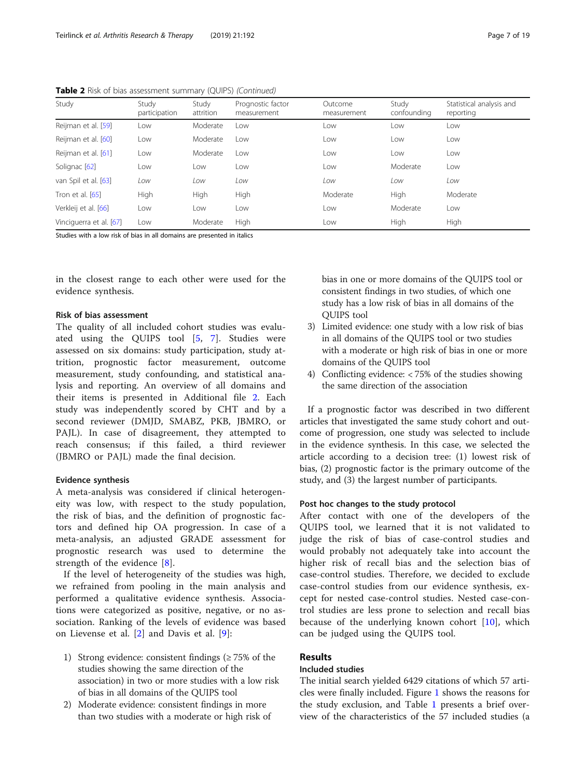Table 2 Risk of bias assessment summary (QUIPS) (Continued)

| Study                   | Study<br>participation | Study<br>attrition | Prognostic factor<br>measurement | Outcome<br>measurement | Study<br>confounding | Statistical analysis and<br>reporting |
|-------------------------|------------------------|--------------------|----------------------------------|------------------------|----------------------|---------------------------------------|
| Reijman et al. [59]     | Low                    | Moderate           | Low                              | Low                    | Low                  | Low                                   |
| Reijman et al. [60]     | Low                    | Moderate           | Low                              | Low                    | Low                  | Low                                   |
| Reijman et al. [61]     | Low                    | Moderate           | Low                              | Low                    | Low                  | Low                                   |
| Solignac [62]           | Low                    | Low                | Low                              | Low                    | Moderate             | Low                                   |
| van Spil et al. [63]    | Low                    | Low                | Low                              | Low                    | Low                  | Low                                   |
| Tron et al. [65]        | High                   | High               | High                             | Moderate               | High                 | Moderate                              |
| Verkleij et al. [66]    | Low                    | Low                | Low                              | Low                    | Moderate             | Low                                   |
| Vinciquerra et al. [67] | Low                    | Moderate           | High                             | Low                    | High                 | High                                  |

Studies with a low risk of bias in all domains are presented in italics

in the closest range to each other were used for the evidence synthesis.

# Risk of bias assessment

The quality of all included cohort studies was evaluated using the QUIPS tool [[5,](#page-17-0) [7](#page-17-0)]. Studies were assessed on six domains: study participation, study attrition, prognostic factor measurement, outcome measurement, study confounding, and statistical analysis and reporting. An overview of all domains and their items is presented in Additional file [2.](#page-16-0) Each study was independently scored by CHT and by a second reviewer (DMJD, SMABZ, PKB, JBMRO, or PAJL). In case of disagreement, they attempted to reach consensus; if this failed, a third reviewer (JBMRO or PAJL) made the final decision.

### Evidence synthesis

A meta-analysis was considered if clinical heterogeneity was low, with respect to the study population, the risk of bias, and the definition of prognostic factors and defined hip OA progression. In case of a meta-analysis, an adjusted GRADE assessment for prognostic research was used to determine the strength of the evidence [\[8](#page-17-0)].

If the level of heterogeneity of the studies was high, we refrained from pooling in the main analysis and performed a qualitative evidence synthesis. Associations were categorized as positive, negative, or no association. Ranking of the levels of evidence was based on Lievense et al. [\[2](#page-17-0)] and Davis et al. [[9\]](#page-17-0):

- 1) Strong evidence: consistent findings (≥ 75% of the studies showing the same direction of the association) in two or more studies with a low risk of bias in all domains of the QUIPS tool
- 2) Moderate evidence: consistent findings in more than two studies with a moderate or high risk of

bias in one or more domains of the QUIPS tool or consistent findings in two studies, of which one study has a low risk of bias in all domains of the QUIPS tool

- 3) Limited evidence: one study with a low risk of bias in all domains of the QUIPS tool or two studies with a moderate or high risk of bias in one or more domains of the QUIPS tool
- 4) Conflicting evidence: < 75% of the studies showing the same direction of the association

If a prognostic factor was described in two different articles that investigated the same study cohort and outcome of progression, one study was selected to include in the evidence synthesis. In this case, we selected the article according to a decision tree: (1) lowest risk of bias, (2) prognostic factor is the primary outcome of the study, and (3) the largest number of participants.

# Post hoc changes to the study protocol

After contact with one of the developers of the QUIPS tool, we learned that it is not validated to judge the risk of bias of case-control studies and would probably not adequately take into account the higher risk of recall bias and the selection bias of case-control studies. Therefore, we decided to exclude case-control studies from our evidence synthesis, except for nested case-control studies. Nested case-control studies are less prone to selection and recall bias because of the underlying known cohort [[10](#page-17-0)], which can be judged using the QUIPS tool.

# Results

# Included studies

The initial search yielded 6429 citations of which 57 articles were finally included. Figure [1](#page-1-0) shows the reasons for the study exclusion, and Table [1](#page-2-0) presents a brief overview of the characteristics of the 57 included studies (a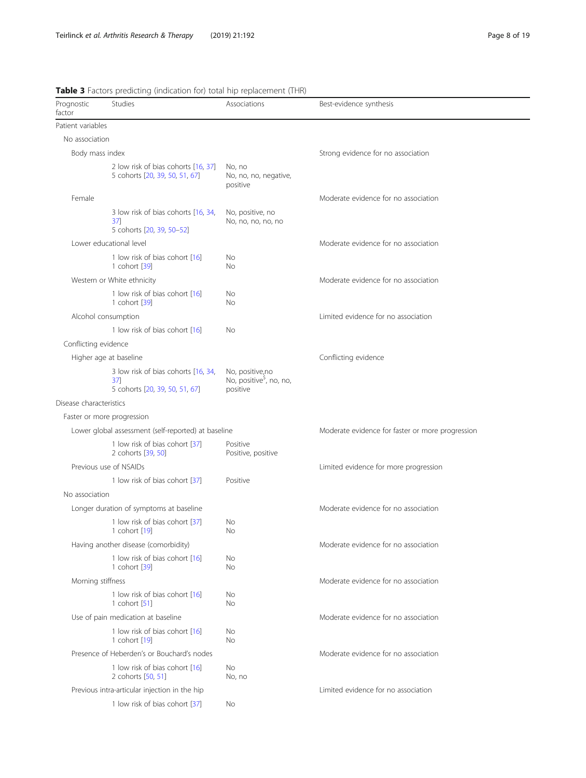| Prognostic<br>factor    | <b>Table 3</b> Factors predicting (indication for) total hip replacement (if in)<br>Studies | Associations                                                         | Best-evidence synthesis                          |
|-------------------------|---------------------------------------------------------------------------------------------|----------------------------------------------------------------------|--------------------------------------------------|
| Patient variables       |                                                                                             |                                                                      |                                                  |
| No association          |                                                                                             |                                                                      |                                                  |
| Body mass index         |                                                                                             |                                                                      | Strong evidence for no association               |
|                         | 2 low risk of bias cohorts [16, 37]<br>5 cohorts [20, 39, 50, 51, 67]                       | No, no<br>No, no, no, negative,<br>positive                          |                                                  |
| Female                  |                                                                                             |                                                                      | Moderate evidence for no association             |
|                         | 3 low risk of bias cohorts [16, 34,<br>371<br>5 cohorts [20, 39, 50-52]                     | No, positive, no<br>No, no, no, no, no                               |                                                  |
|                         | Lower educational level                                                                     |                                                                      | Moderate evidence for no association             |
|                         | 1 low risk of bias cohort [16]<br>1 cohort [39]                                             | <b>No</b><br><b>No</b>                                               |                                                  |
|                         | Western or White ethnicity                                                                  |                                                                      | Moderate evidence for no association             |
|                         | 1 low risk of bias cohort [16]<br>1 cohort [39]                                             | <b>No</b><br><b>No</b>                                               |                                                  |
|                         | Alcohol consumption                                                                         |                                                                      | Limited evidence for no association              |
|                         | 1 low risk of bias cohort [16]                                                              | No                                                                   |                                                  |
| Conflicting evidence    |                                                                                             |                                                                      |                                                  |
|                         | Higher age at baseline                                                                      |                                                                      | Conflicting evidence                             |
|                         | 3 low risk of bias cohorts [16, 34,<br>371<br>5 cohorts [20, 39, 50, 51, 67]                | No, positive, no<br>No, positive <sup>\$</sup> , no, no,<br>positive |                                                  |
| Disease characteristics |                                                                                             |                                                                      |                                                  |
|                         | Faster or more progression                                                                  |                                                                      |                                                  |
|                         | Lower global assessment (self-reported) at baseline                                         |                                                                      | Moderate evidence for faster or more progression |
|                         | 1 low risk of bias cohort [37]<br>2 cohorts [39, 50]                                        | Positive<br>Positive, positive                                       |                                                  |
|                         | Previous use of NSAIDs                                                                      |                                                                      | Limited evidence for more progression            |
|                         | 1 low risk of bias cohort [37]                                                              | Positive                                                             |                                                  |
| No association          |                                                                                             |                                                                      |                                                  |
|                         | Longer duration of symptoms at baseline                                                     |                                                                      | Moderate evidence for no association             |
|                         | 1 low risk of bias cohort [37]<br>1 cohort [19]                                             | No<br>No                                                             |                                                  |
|                         | Having another disease (comorbidity)                                                        |                                                                      | Moderate evidence for no association             |
|                         | 1 low risk of bias cohort [16]<br>1 cohort [39]                                             | No<br>No                                                             |                                                  |
| Morning stiffness       |                                                                                             |                                                                      | Moderate evidence for no association             |
|                         | 1 low risk of bias cohort [16]<br>1 cohort [51]                                             | <b>No</b><br><b>No</b>                                               |                                                  |
|                         | Use of pain medication at baseline                                                          |                                                                      | Moderate evidence for no association             |
|                         | 1 low risk of bias cohort [16]<br>1 cohort [19]                                             | No<br>No                                                             |                                                  |
|                         | Presence of Heberden's or Bouchard's nodes                                                  |                                                                      | Moderate evidence for no association             |
|                         | 1 low risk of bias cohort [16]<br>2 cohorts [50, 51]                                        | <b>No</b><br>No, no                                                  |                                                  |
|                         | Previous intra-articular injection in the hip<br>1 low risk of bias cohort [37]             | No                                                                   | Limited evidence for no association              |

<span id="page-7-0"></span>Table 3 Factors predicting (indication for) total hip replacement (THR)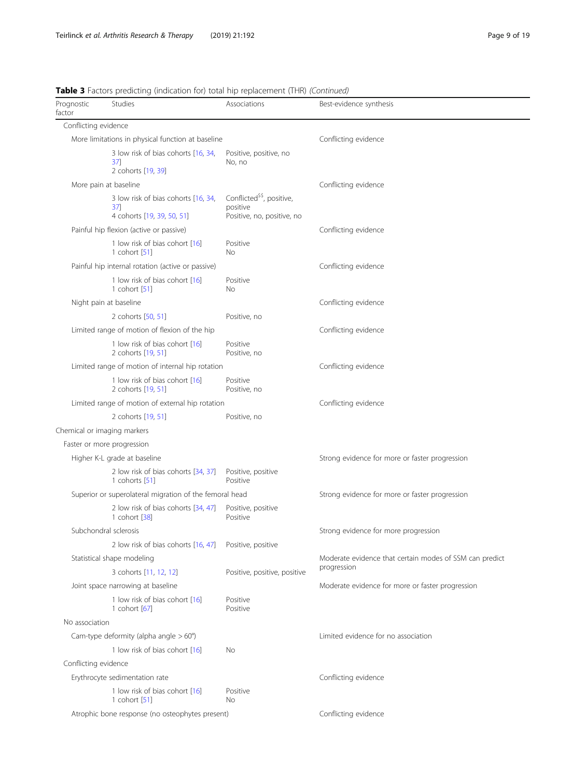| Prognostic<br>factor | Studies                                                                  | Associations                                                                     | Best-evidence synthesis                                 |
|----------------------|--------------------------------------------------------------------------|----------------------------------------------------------------------------------|---------------------------------------------------------|
| Conflicting evidence |                                                                          |                                                                                  |                                                         |
|                      | More limitations in physical function at baseline                        |                                                                                  | Conflicting evidence                                    |
|                      | 3 low risk of bias cohorts [16, 34,<br>371<br>2 cohorts [19, 39]         | Positive, positive, no<br>No, no                                                 |                                                         |
|                      | More pain at baseline                                                    |                                                                                  | Conflicting evidence                                    |
|                      | 3 low risk of bias cohorts [16, 34,<br>371<br>4 cohorts [19, 39, 50, 51] | Conflicted <sup>\$\$</sup> , positive,<br>positive<br>Positive, no, positive, no |                                                         |
|                      | Painful hip flexion (active or passive)                                  |                                                                                  | Conflicting evidence                                    |
|                      | 1 low risk of bias cohort [16]                                           | Positive                                                                         |                                                         |
|                      | 1 cohort [51]                                                            | No                                                                               |                                                         |
|                      | Painful hip internal rotation (active or passive)                        |                                                                                  | Conflicting evidence                                    |
|                      | 1 low risk of bias cohort [16]<br>1 cohort [51]                          | Positive<br>No                                                                   |                                                         |
|                      | Night pain at baseline                                                   |                                                                                  | Conflicting evidence                                    |
|                      | 2 cohorts [50, 51]                                                       | Positive, no                                                                     |                                                         |
|                      | Limited range of motion of flexion of the hip                            |                                                                                  | Conflicting evidence                                    |
|                      | 1 low risk of bias cohort [16]<br>2 cohorts [19, 51]                     | Positive<br>Positive, no                                                         |                                                         |
|                      | Limited range of motion of internal hip rotation                         |                                                                                  | Conflicting evidence                                    |
|                      | 1 low risk of bias cohort [16]<br>2 cohorts [19, 51]                     | Positive<br>Positive, no                                                         |                                                         |
|                      | Limited range of motion of external hip rotation                         |                                                                                  | Conflicting evidence                                    |
|                      | 2 cohorts [19, 51]                                                       | Positive, no                                                                     |                                                         |
|                      | Chemical or imaging markers                                              |                                                                                  |                                                         |
|                      | Faster or more progression                                               |                                                                                  |                                                         |
|                      | Higher K-L grade at baseline                                             |                                                                                  | Strong evidence for more or faster progression          |
|                      | 2 low risk of bias cohorts [34, 37]<br>1 cohorts [51]                    | Positive, positive<br>Positive                                                   |                                                         |
|                      | Superior or superolateral migration of the femoral head                  |                                                                                  | Strong evidence for more or faster progression          |
|                      | 2 low risk of bias cohorts [34, 47]<br>1 cohort [38]                     | Positive, positive<br>Positive                                                   |                                                         |
|                      | Subchondral sclerosis                                                    |                                                                                  | Strong evidence for more progression                    |
|                      | 2 low risk of bias cohorts [16, 47]                                      | Positive, positive                                                               |                                                         |
|                      | Statistical shape modeling                                               |                                                                                  | Moderate evidence that certain modes of SSM can predict |
|                      | 3 cohorts [11, 12, 12]                                                   | Positive, positive, positive                                                     | progression                                             |
|                      | Joint space narrowing at baseline                                        |                                                                                  | Moderate evidence for more or faster progression        |
|                      | 1 low risk of bias cohort [16]<br>1 cohort [67]                          | Positive<br>Positive                                                             |                                                         |
| No association       |                                                                          |                                                                                  |                                                         |
|                      | Cam-type deformity (alpha angle > 60°)                                   |                                                                                  | Limited evidence for no association                     |
|                      | 1 low risk of bias cohort [16]                                           | No                                                                               |                                                         |
| Conflicting evidence |                                                                          |                                                                                  |                                                         |
|                      | Erythrocyte sedimentation rate                                           |                                                                                  | Conflicting evidence                                    |
|                      | 1 low risk of bias cohort [16]<br>1 cohort [51]                          | Positive<br>No                                                                   |                                                         |
|                      | Atrophic bone response (no osteophytes present)                          |                                                                                  | Conflicting evidence                                    |

Table 3 Factors predicting (indication for) total hip replacement (THR) (Continued)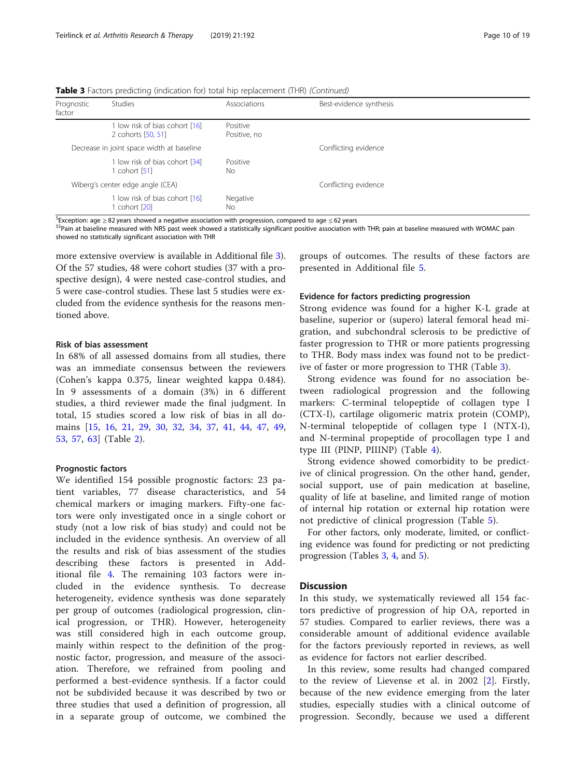Table 3 Factors predicting (indication for) total hip replacement (THR) (Continued)

| Prognostic<br>factor | Studies                                              | Associations             | Best-evidence synthesis |
|----------------------|------------------------------------------------------|--------------------------|-------------------------|
|                      | 1 low risk of bias cohort [16]<br>2 cohorts [50, 51] | Positive<br>Positive, no |                         |
|                      | Decrease in joint space width at baseline            |                          | Conflicting evidence    |
|                      | 1 low risk of bias cohort [34]<br>1 cohort [51]      | Positive<br>No.          |                         |
|                      | Wiberg's center edge angle (CEA)                     |                          | Conflicting evidence    |
|                      | 1 low risk of bias cohort [16]<br>1 cohort [20]      | Negative<br>No.          |                         |

<sup>\$</sup>Exception: age  $\geq$  82 years showed a negative association with progression, compared to age  $\leq$  62 years

<sup>\$\$p</sup>ain at baseline measured with NRS past week showed a statistically significant positive association with THR; pain at baseline measured with WOMAC pain showed no statistically significant association with THR

more extensive overview is available in Additional file [3](#page-16-0)). Of the 57 studies, 48 were cohort studies (37 with a prospective design), 4 were nested case-control studies, and 5 were case-control studies. These last 5 studies were excluded from the evidence synthesis for the reasons mentioned above.

### Risk of bias assessment

In 68% of all assessed domains from all studies, there was an immediate consensus between the reviewers (Cohen's kappa 0.375, linear weighted kappa 0.484). In 9 assessments of a domain (3%) in 6 different studies, a third reviewer made the final judgment. In total, 15 studies scored a low risk of bias in all domains [[15,](#page-17-0) [16,](#page-17-0) [21,](#page-17-0) [29](#page-18-0), [30](#page-18-0), [32](#page-18-0), [34,](#page-18-0) [37,](#page-18-0) [41,](#page-18-0) [44](#page-18-0), [47](#page-18-0), [49](#page-18-0), [53,](#page-18-0) [57,](#page-18-0) [63](#page-18-0)] (Table [2\)](#page-5-0).

### Prognostic factors

We identified 154 possible prognostic factors: 23 patient variables, 77 disease characteristics, and 54 chemical markers or imaging markers. Fifty-one factors were only investigated once in a single cohort or study (not a low risk of bias study) and could not be included in the evidence synthesis. An overview of all the results and risk of bias assessment of the studies describing these factors is presented in Additional file [4](#page-16-0). The remaining 103 factors were included in the evidence synthesis. To decrease heterogeneity, evidence synthesis was done separately per group of outcomes (radiological progression, clinical progression, or THR). However, heterogeneity was still considered high in each outcome group, mainly within respect to the definition of the prognostic factor, progression, and measure of the association. Therefore, we refrained from pooling and performed a best-evidence synthesis. If a factor could not be subdivided because it was described by two or three studies that used a definition of progression, all in a separate group of outcome, we combined the

groups of outcomes. The results of these factors are presented in Additional file [5.](#page-16-0)

### Evidence for factors predicting progression

Strong evidence was found for a higher K-L grade at baseline, superior or (supero) lateral femoral head migration, and subchondral sclerosis to be predictive of faster progression to THR or more patients progressing to THR. Body mass index was found not to be predictive of faster or more progression to THR (Table [3\)](#page-7-0).

Strong evidence was found for no association between radiological progression and the following markers: C-terminal telopeptide of collagen type I (CTX-I), cartilage oligomeric matrix protein (COMP), N-terminal telopeptide of collagen type I (NTX-I), and N-terminal propeptide of procollagen type I and type III (PINP, PIIINP) (Table [4](#page-10-0)).

Strong evidence showed comorbidity to be predictive of clinical progression. On the other hand, gender, social support, use of pain medication at baseline, quality of life at baseline, and limited range of motion of internal hip rotation or external hip rotation were not predictive of clinical progression (Table [5](#page-13-0)).

For other factors, only moderate, limited, or conflicting evidence was found for predicting or not predicting progression (Tables [3,](#page-7-0) [4,](#page-10-0) and [5\)](#page-13-0).

### **Discussion**

In this study, we systematically reviewed all 154 factors predictive of progression of hip OA, reported in 57 studies. Compared to earlier reviews, there was a considerable amount of additional evidence available for the factors previously reported in reviews, as well as evidence for factors not earlier described.

In this review, some results had changed compared to the review of Lievense et al. in 2002 [[2\]](#page-17-0). Firstly, because of the new evidence emerging from the later studies, especially studies with a clinical outcome of progression. Secondly, because we used a different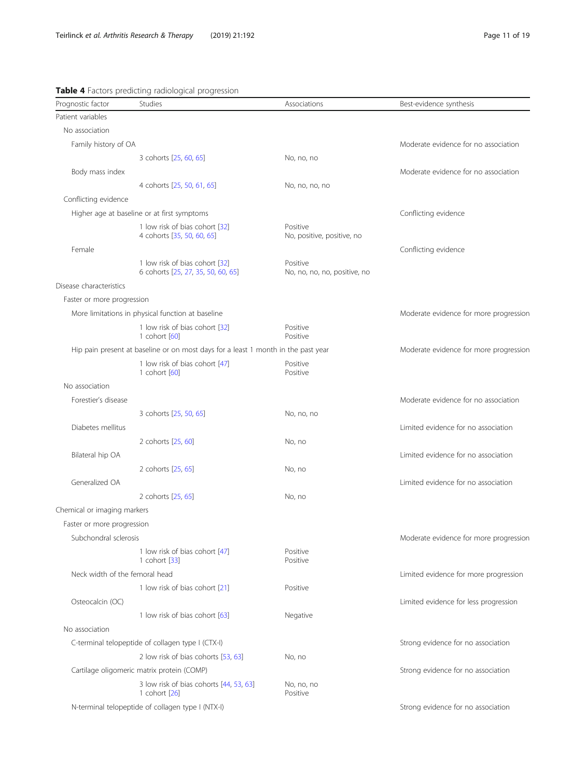# <span id="page-10-0"></span>Table 4 Factors predicting radiological progression

| Prognostic factor              | Studies                                                                           | Associations                             | Best-evidence synthesis                |
|--------------------------------|-----------------------------------------------------------------------------------|------------------------------------------|----------------------------------------|
| Patient variables              |                                                                                   |                                          |                                        |
| No association                 |                                                                                   |                                          |                                        |
| Family history of OA           |                                                                                   |                                          | Moderate evidence for no association   |
|                                | 3 cohorts [25, 60, 65]                                                            | No, no, no                               |                                        |
| Body mass index                |                                                                                   |                                          | Moderate evidence for no association   |
|                                | 4 cohorts [25, 50, 61, 65]                                                        | No, no, no, no                           |                                        |
| Conflicting evidence           |                                                                                   |                                          |                                        |
|                                | Higher age at baseline or at first symptoms                                       |                                          | Conflicting evidence                   |
|                                | 1 low risk of bias cohort [32]<br>4 cohorts [35, 50, 60, 65]                      | Positive<br>No, positive, positive, no   |                                        |
| Female                         |                                                                                   |                                          | Conflicting evidence                   |
|                                | 1 low risk of bias cohort [32]<br>6 cohorts [25, 27, 35, 50, 60, 65]              | Positive<br>No, no, no, no, positive, no |                                        |
| Disease characteristics        |                                                                                   |                                          |                                        |
| Faster or more progression     |                                                                                   |                                          |                                        |
|                                | More limitations in physical function at baseline                                 |                                          | Moderate evidence for more progression |
|                                | 1 low risk of bias cohort [32]<br>1 cohort [60]                                   | Positive<br>Positive                     |                                        |
|                                | Hip pain present at baseline or on most days for a least 1 month in the past year |                                          | Moderate evidence for more progression |
|                                | 1 low risk of bias cohort [47]<br>1 cohort $[60]$                                 | Positive<br>Positive                     |                                        |
| No association                 |                                                                                   |                                          |                                        |
| Forestier's disease            |                                                                                   |                                          | Moderate evidence for no association   |
|                                | 3 cohorts [25, 50, 65]                                                            | No, no, no                               |                                        |
| Diabetes mellitus              |                                                                                   |                                          | Limited evidence for no association    |
|                                | 2 cohorts [25, 60]                                                                | No, no                                   |                                        |
| Bilateral hip OA               |                                                                                   |                                          | Limited evidence for no association    |
|                                | 2 cohorts [25, 65]                                                                | No, no                                   |                                        |
| Generalized OA                 |                                                                                   |                                          | Limited evidence for no association    |
|                                | 2 cohorts [25, 65]                                                                | No, no                                   |                                        |
| Chemical or imaging markers    |                                                                                   |                                          |                                        |
| Faster or more progression     |                                                                                   |                                          |                                        |
| Subchondral sclerosis          |                                                                                   |                                          | Moderate evidence for more progression |
|                                | 1 low risk of bias cohort [47]<br>1 cohort [33]                                   | Positive<br>Positive                     |                                        |
| Neck width of the femoral head |                                                                                   |                                          | Limited evidence for more progression  |
|                                | 1 low risk of bias cohort [21]                                                    | Positive                                 |                                        |
| Osteocalcin (OC)               |                                                                                   |                                          | Limited evidence for less progression  |
|                                | 1 low risk of bias cohort [63]                                                    | Negative                                 |                                        |
| No association                 |                                                                                   |                                          |                                        |
|                                | C-terminal telopeptide of collagen type I (CTX-I)                                 |                                          | Strong evidence for no association     |
|                                | 2 low risk of bias cohorts [53, 63]                                               | No, no                                   |                                        |
|                                | Cartilage oligomeric matrix protein (COMP)                                        |                                          | Strong evidence for no association     |
|                                | 3 low risk of bias cohorts [44, 53, 63]<br>1 cohort [26]                          | No, no, no<br>Positive                   |                                        |
|                                | N-terminal telopeptide of collagen type I (NTX-I)                                 |                                          | Strong evidence for no association     |
|                                |                                                                                   |                                          |                                        |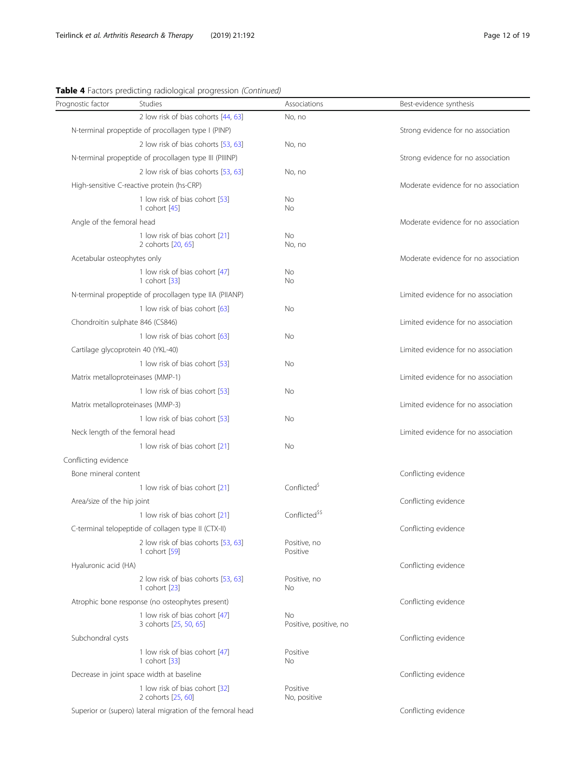| Prognostic factor           | Studies                                                | Associations               | Best-evidence synthesis              |
|-----------------------------|--------------------------------------------------------|----------------------------|--------------------------------------|
|                             | 2 low risk of bias cohorts [44, 63]                    | No, no                     |                                      |
|                             | N-terminal propeptide of procollagen type I (PINP)     |                            | Strong evidence for no association   |
|                             | 2 low risk of bias cohorts [53, 63]                    | No, no                     |                                      |
|                             | N-terminal propeptide of procollagen type III (PIIINP) |                            | Strong evidence for no association   |
|                             | 2 low risk of bias cohorts [53, 63]                    | No, no                     |                                      |
|                             | High-sensitive C-reactive protein (hs-CRP)             |                            | Moderate evidence for no association |
|                             | 1 low risk of bias cohort [53]<br>1 cohort [45]        | <b>No</b><br>No            |                                      |
| Angle of the femoral head   |                                                        |                            | Moderate evidence for no association |
|                             | 1 low risk of bias cohort [21]<br>2 cohorts [20, 65]   | No<br>No, no               |                                      |
| Acetabular osteophytes only |                                                        |                            | Moderate evidence for no association |
|                             | 1 low risk of bias cohort [47]<br>1 cohort [33]        | No<br>No                   |                                      |
|                             | N-terminal propeptide of procollagen type IIA (PIIANP) |                            | Limited evidence for no association  |
|                             | 1 low risk of bias cohort [63]                         | No                         |                                      |
|                             | Chondroitin sulphate 846 (CS846)                       |                            | Limited evidence for no association  |
|                             | 1 low risk of bias cohort [63]                         | No                         |                                      |
|                             | Cartilage glycoprotein 40 (YKL-40)                     |                            | Limited evidence for no association  |
|                             | 1 low risk of bias cohort [53]                         | No                         |                                      |
|                             | Matrix metalloproteinases (MMP-1)                      |                            | Limited evidence for no association  |
|                             | 1 low risk of bias cohort [53]                         | No                         |                                      |
|                             | Matrix metalloproteinases (MMP-3)                      |                            | Limited evidence for no association  |
|                             | 1 low risk of bias cohort [53]                         | No                         |                                      |
|                             | Neck length of the femoral head                        |                            | Limited evidence for no association  |
|                             | 1 low risk of bias cohort [21]                         | No                         |                                      |
| Conflicting evidence        |                                                        |                            |                                      |
| Bone mineral content        |                                                        |                            | Conflicting evidence                 |
|                             | 1 low risk of bias cohort [21]                         | Conflicted <sup>\$</sup>   |                                      |
| Area/size of the hip joint  |                                                        |                            | Conflicting evidence                 |
|                             | 1 low risk of bias cohort [21]                         | Conflicted <sup>\$\$</sup> |                                      |
|                             | C-terminal telopeptide of collagen type II (CTX-II)    |                            | Conflicting evidence                 |
|                             | 2 low risk of bias cohorts [53, 63]<br>1 cohort [59]   | Positive, no<br>Positive   |                                      |

Positive, no No

Positive, positive, no

No

Positive No

Positive No, positive

Table 4 Factors predicting radiological progression (Continued)

1 cohort [\[59](#page-18-0)] Hyaluronic acid (HA) Conflicting evidence 2 low risk of bias cohorts [\[53](#page-18-0), [63](#page-18-0)] 1 cohort [\[23](#page-17-0)] Atrophic bone response (no osteophytes present) and the conflicting evidence conflicting evidence 1 low risk of bias cohort [[47](#page-18-0)] 3 cohorts [\[25,](#page-17-0) [50](#page-18-0), [65\]](#page-18-0) Subchondral cysts Conflicting evidence 1 low risk of bias cohort [[47](#page-18-0)] 1 cohort [\[33](#page-18-0)] Decrease in joint space width at baseline Conflicting evidence Conflicting evidence 1 low risk of bias cohort [[32](#page-18-0)]

2 cohorts [\[25,](#page-17-0) [60](#page-18-0)]

Superior or (supero) lateral migration of the femoral head Conflicting evidence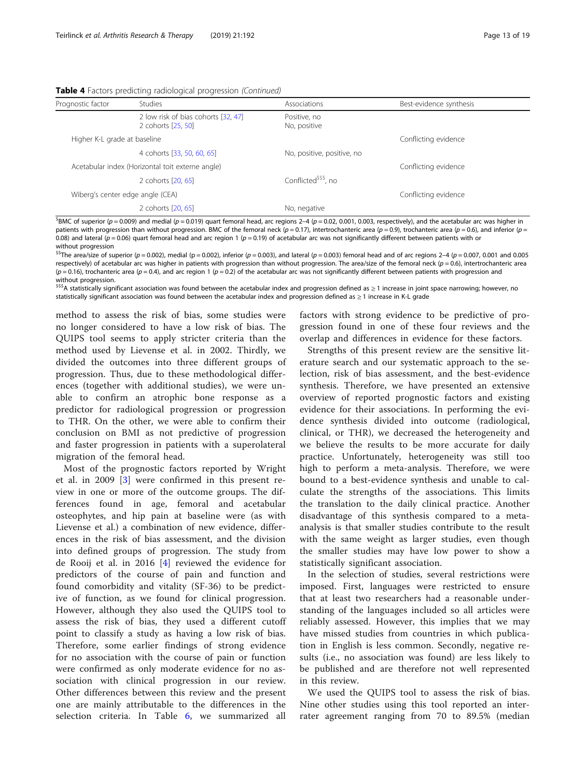| Table 4 Factors predicting radiological progression (Continued) |  |  |
|-----------------------------------------------------------------|--|--|

| Prognostic factor                | Studies                                                   | Associations                      | Best-evidence synthesis |
|----------------------------------|-----------------------------------------------------------|-----------------------------------|-------------------------|
|                                  | 2 low risk of bias cohorts [32, 47]<br>2 cohorts [25, 50] | Positive, no<br>No, positive      |                         |
| Higher K-L grade at baseline     |                                                           |                                   | Conflicting evidence    |
|                                  | 4 cohorts [33, 50, 60, 65]                                | No, positive, positive, no        |                         |
|                                  | Acetabular index (Horizontal toit externe angle)          |                                   | Conflicting evidence    |
|                                  | 2 cohorts [20, 65]                                        | Conflicted <sup>\$\$\$</sup> , no |                         |
| Wiberg's center edge angle (CEA) |                                                           |                                   | Conflicting evidence    |
|                                  | 2 cohorts [20, 65]                                        | No, negative                      |                         |

 ${}^{8}$ BMC of superior (p = 0.009) and medial (p = 0.019) quart femoral head, arc regions 2–4 (p = 0.02, 0.001, 0.003, respectively), and the acetabular arc was higher in patients with progression than without progression. BMC of the femoral neck ( $p = 0.17$ ), intertrochanteric area ( $p = 0.9$ ), trochanteric area ( $p = 0.6$ ), and inferior ( $p = 0.6$ ) 0.08) and lateral ( $p = 0.06$ ) quart femoral head and arc region 1 ( $p = 0.19$ ) of acetabular arc was not significantly different between patients with or without progression

<sup>55</sup>The area/size of superior (p = 0.002), medial (p = 0.002), inferior (p = 0.003), and lateral (p = 0.003) femoral head and of arc regions 2–4 (p = 0.007, 0.001 and 0.005 respectively) of acetabular arc was higher in patients with progression than without progression. The area/size of the femoral neck ( $p = 0.6$ ), intertrochanteric area  $(p = 0.16)$ , trochanteric area (p = 0.4), and arc region 1 (p = 0.2) of the acetabular arc was not significantly different between patients with progression and without progression.

<sup>\$\$\$</sup>A statistically significant association was found between the acetabular index and progression defined as ≥ 1 increase in joint space narrowing; however, no statistically significant association was found between the acetabular index and progression defined as ≥ 1 increase in K-L grade

method to assess the risk of bias, some studies were no longer considered to have a low risk of bias. The QUIPS tool seems to apply stricter criteria than the method used by Lievense et al. in 2002. Thirdly, we divided the outcomes into three different groups of progression. Thus, due to these methodological differences (together with additional studies), we were unable to confirm an atrophic bone response as a predictor for radiological progression or progression to THR. On the other, we were able to confirm their conclusion on BMI as not predictive of progression and faster progression in patients with a superolateral migration of the femoral head.

Most of the prognostic factors reported by Wright et al. in 2009 [[3\]](#page-17-0) were confirmed in this present review in one or more of the outcome groups. The differences found in age, femoral and acetabular osteophytes, and hip pain at baseline were (as with Lievense et al.) a combination of new evidence, differences in the risk of bias assessment, and the division into defined groups of progression. The study from de Rooij et al. in 2016 [\[4](#page-17-0)] reviewed the evidence for predictors of the course of pain and function and found comorbidity and vitality (SF-36) to be predictive of function, as we found for clinical progression. However, although they also used the QUIPS tool to assess the risk of bias, they used a different cutoff point to classify a study as having a low risk of bias. Therefore, some earlier findings of strong evidence for no association with the course of pain or function were confirmed as only moderate evidence for no association with clinical progression in our review. Other differences between this review and the present one are mainly attributable to the differences in the selection criteria. In Table [6](#page-16-0), we summarized all

factors with strong evidence to be predictive of progression found in one of these four reviews and the overlap and differences in evidence for these factors.

Strengths of this present review are the sensitive literature search and our systematic approach to the selection, risk of bias assessment, and the best-evidence synthesis. Therefore, we have presented an extensive overview of reported prognostic factors and existing evidence for their associations. In performing the evidence synthesis divided into outcome (radiological, clinical, or THR), we decreased the heterogeneity and we believe the results to be more accurate for daily practice. Unfortunately, heterogeneity was still too high to perform a meta-analysis. Therefore, we were bound to a best-evidence synthesis and unable to calculate the strengths of the associations. This limits the translation to the daily clinical practice. Another disadvantage of this synthesis compared to a metaanalysis is that smaller studies contribute to the result with the same weight as larger studies, even though the smaller studies may have low power to show a statistically significant association.

In the selection of studies, several restrictions were imposed. First, languages were restricted to ensure that at least two researchers had a reasonable understanding of the languages included so all articles were reliably assessed. However, this implies that we may have missed studies from countries in which publication in English is less common. Secondly, negative results (i.e., no association was found) are less likely to be published and are therefore not well represented in this review.

We used the QUIPS tool to assess the risk of bias. Nine other studies using this tool reported an interrater agreement ranging from 70 to 89.5% (median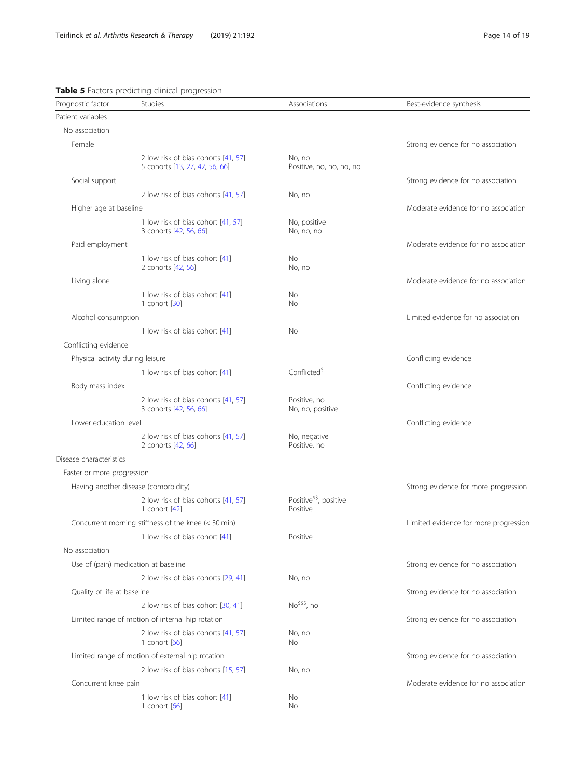# <span id="page-13-0"></span>Table 5 Factors predicting clinical progression

| Prognostic factor                | <b>Studies</b>                                                        | Associations                                    | Best-evidence synthesis               |
|----------------------------------|-----------------------------------------------------------------------|-------------------------------------------------|---------------------------------------|
| Patient variables                |                                                                       |                                                 |                                       |
| No association                   |                                                                       |                                                 |                                       |
| Female                           |                                                                       |                                                 | Strong evidence for no association    |
|                                  | 2 low risk of bias cohorts [41, 57]<br>5 cohorts [13, 27, 42, 56, 66] | No, no<br>Positive, no, no, no, no              |                                       |
| Social support                   |                                                                       |                                                 | Strong evidence for no association    |
|                                  | 2 low risk of bias cohorts [41, 57]                                   | No, no                                          |                                       |
| Higher age at baseline           |                                                                       |                                                 | Moderate evidence for no association  |
|                                  | 1 low risk of bias cohort [41, 57]<br>3 cohorts [42, 56, 66]          | No, positive<br>No, no, no                      |                                       |
| Paid employment                  |                                                                       |                                                 | Moderate evidence for no association  |
|                                  | 1 low risk of bias cohort [41]<br>2 cohorts [42, 56]                  | No<br>No, no                                    |                                       |
| Living alone                     |                                                                       |                                                 | Moderate evidence for no association  |
|                                  | 1 low risk of bias cohort [41]<br>1 cohort [30]                       | No<br><b>No</b>                                 |                                       |
| Alcohol consumption              |                                                                       |                                                 | Limited evidence for no association   |
|                                  | 1 low risk of bias cohort [41]                                        | <b>No</b>                                       |                                       |
| Conflicting evidence             |                                                                       |                                                 |                                       |
| Physical activity during leisure |                                                                       |                                                 | Conflicting evidence                  |
|                                  | 1 low risk of bias cohort [41]                                        | Conflicted <sup>\$</sup>                        |                                       |
| Body mass index                  |                                                                       |                                                 | Conflicting evidence                  |
|                                  | 2 low risk of bias cohorts [41, 57]<br>3 cohorts [42, 56, 66]         | Positive, no<br>No, no, positive                |                                       |
| Lower education level            |                                                                       |                                                 | Conflicting evidence                  |
|                                  | 2 low risk of bias cohorts [41, 57]<br>2 cohorts [42, 66]             | No, negative<br>Positive, no                    |                                       |
| Disease characteristics          |                                                                       |                                                 |                                       |
| Faster or more progression       |                                                                       |                                                 |                                       |
|                                  | Having another disease (comorbidity)                                  |                                                 | Strong evidence for more progression  |
|                                  | 2 low risk of bias cohorts [41, 57]<br>1 cohort [42]                  | Positive <sup>\$\$</sup> , positive<br>Positive |                                       |
|                                  | Concurrent morning stiffness of the knee (< 30 min)                   |                                                 | Limited evidence for more progression |
|                                  | 1 low risk of bias cohort [41]                                        | Positive                                        |                                       |
| No association                   |                                                                       |                                                 |                                       |
|                                  | Use of (pain) medication at baseline                                  |                                                 | Strong evidence for no association    |
|                                  | 2 low risk of bias cohorts [29, 41]                                   | No, no                                          |                                       |
| Quality of life at baseline      |                                                                       |                                                 | Strong evidence for no association    |
|                                  | 2 low risk of bias cohort [30, 41]                                    | No <sup>\$\$\$</sup> , no                       |                                       |
|                                  | Limited range of motion of internal hip rotation                      |                                                 | Strong evidence for no association    |
|                                  | 2 low risk of bias cohorts [41, 57]<br>1 cohort [66]                  | No, no<br>No.                                   |                                       |
|                                  | Limited range of motion of external hip rotation                      |                                                 | Strong evidence for no association    |
|                                  | 2 low risk of bias cohorts [15, 57]                                   | No, no                                          |                                       |
| Concurrent knee pain             |                                                                       |                                                 | Moderate evidence for no association  |
|                                  | 1 low risk of bias cohort [41]<br>1 cohort [66]                       | No<br>No                                        |                                       |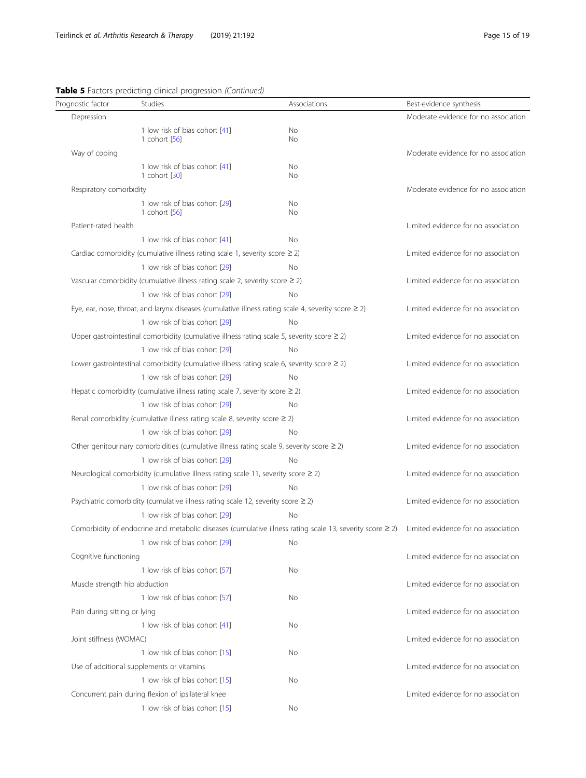| Prognostic factor             | Studies                                                                                                  | Best-evidence synthesis<br>Associations                                                                                                      |
|-------------------------------|----------------------------------------------------------------------------------------------------------|----------------------------------------------------------------------------------------------------------------------------------------------|
| Depression                    |                                                                                                          | Moderate evidence for no association                                                                                                         |
|                               | 1 low risk of bias cohort [41]<br>No<br>1 cohort [56]<br>No                                              |                                                                                                                                              |
| Way of coping                 |                                                                                                          | Moderate evidence for no association                                                                                                         |
|                               | 1 low risk of bias cohort [41]<br><b>No</b><br>1 cohort [30]<br><b>No</b>                                |                                                                                                                                              |
| Respiratory comorbidity       |                                                                                                          | Moderate evidence for no association                                                                                                         |
|                               | 1 low risk of bias cohort [29]<br>No<br>1 cohort [56]<br>No                                              |                                                                                                                                              |
| Patient-rated health          |                                                                                                          | Limited evidence for no association                                                                                                          |
|                               | 1 low risk of bias cohort [41]<br><b>No</b>                                                              |                                                                                                                                              |
|                               | Cardiac comorbidity (cumulative illness rating scale 1, severity score $\geq$ 2)                         | Limited evidence for no association                                                                                                          |
|                               | 1 low risk of bias cohort [29]<br><b>No</b>                                                              |                                                                                                                                              |
|                               | Vascular comorbidity (cumulative illness rating scale 2, severity score $\geq$ 2)                        | Limited evidence for no association                                                                                                          |
|                               | 1 low risk of bias cohort [29]<br>No                                                                     |                                                                                                                                              |
|                               | Eye, ear, nose, throat, and larynx diseases (cumulative illness rating scale 4, severity score $\geq$ 2) | Limited evidence for no association                                                                                                          |
|                               | 1 low risk of bias cohort [29]<br><b>No</b>                                                              |                                                                                                                                              |
|                               | Upper gastrointestinal comorbidity (cumulative illness rating scale 5, severity score $\geq 2$ )         | Limited evidence for no association                                                                                                          |
|                               | 1 low risk of bias cohort [29]<br><b>No</b>                                                              |                                                                                                                                              |
|                               | Lower gastrointestinal comorbidity (cumulative illness rating scale 6, severity score $\geq$ 2)          | Limited evidence for no association                                                                                                          |
|                               | 1 low risk of bias cohort [29]<br>No                                                                     |                                                                                                                                              |
|                               | Hepatic comorbidity (cumulative illness rating scale 7, severity score $\geq$ 2)                         | Limited evidence for no association                                                                                                          |
|                               | 1 low risk of bias cohort [29]<br><b>No</b>                                                              |                                                                                                                                              |
|                               | Renal comorbidity (cumulative illness rating scale 8, severity score $\geq$ 2)                           | Limited evidence for no association                                                                                                          |
|                               | 1 low risk of bias cohort [29]<br><b>No</b>                                                              |                                                                                                                                              |
|                               | Other genitourinary comorbidities (cumulative illness rating scale 9, severity score $\geq$ 2)           | Limited evidence for no association                                                                                                          |
|                               | 1 low risk of bias cohort [29]<br>No                                                                     |                                                                                                                                              |
|                               | Neurological comorbidity (cumulative illness rating scale 11, severity score $\geq 2$ )                  | Limited evidence for no association                                                                                                          |
|                               | 1 low risk of bias cohort [29]<br>No                                                                     |                                                                                                                                              |
|                               | Psychiatric comorbidity (cumulative illness rating scale 12, severity score $\geq$ 2)                    | Limited evidence for no association                                                                                                          |
|                               | 1 low risk of bias cohort [29]<br><b>No</b>                                                              |                                                                                                                                              |
|                               |                                                                                                          | Comorbidity of endocrine and metabolic diseases (cumulative illness rating scale 13, severity score ≥ 2) Limited evidence for no association |
|                               | 1 low risk of bias cohort [29]<br>No                                                                     |                                                                                                                                              |
| Cognitive functioning         |                                                                                                          | Limited evidence for no association                                                                                                          |
|                               | 1 low risk of bias cohort [57]<br>No                                                                     |                                                                                                                                              |
| Muscle strength hip abduction |                                                                                                          | Limited evidence for no association                                                                                                          |
|                               | 1 low risk of bias cohort [57]<br>No                                                                     |                                                                                                                                              |
| Pain during sitting or lying  |                                                                                                          | Limited evidence for no association                                                                                                          |
|                               | 1 low risk of bias cohort [41]<br>No                                                                     |                                                                                                                                              |
| Joint stiffness (WOMAC)       |                                                                                                          | Limited evidence for no association                                                                                                          |
|                               | 1 low risk of bias cohort [15]<br>No                                                                     |                                                                                                                                              |
|                               | Use of additional supplements or vitamins                                                                | Limited evidence for no association                                                                                                          |
|                               | 1 low risk of bias cohort [15]<br>No                                                                     |                                                                                                                                              |
|                               | Concurrent pain during flexion of ipsilateral knee                                                       | Limited evidence for no association                                                                                                          |
|                               | 1 low risk of bias cohort [15]<br>No                                                                     |                                                                                                                                              |

Table 5 Factors predicting clinical progression (Continued)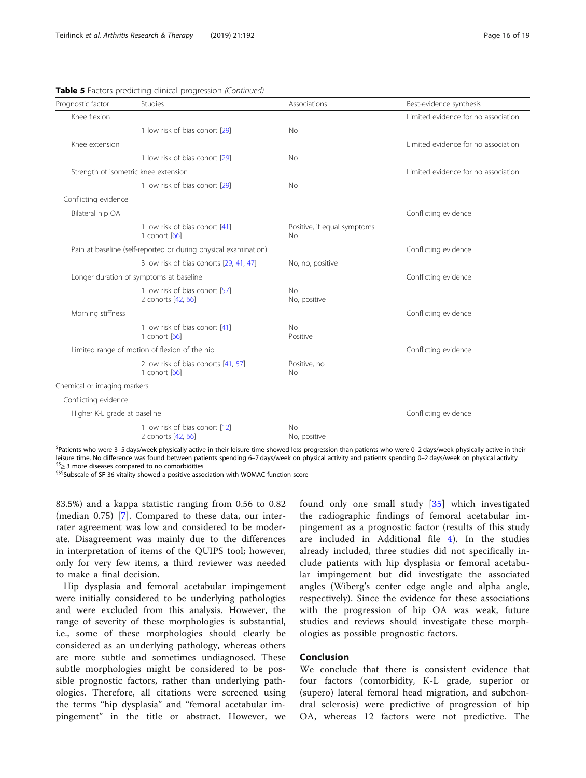| Prognostic factor                       | Studies                                                         | Associations                      | Best-evidence synthesis             |
|-----------------------------------------|-----------------------------------------------------------------|-----------------------------------|-------------------------------------|
| Knee flexion                            |                                                                 |                                   | Limited evidence for no association |
|                                         | 1 low risk of bias cohort [29]                                  | <b>No</b>                         |                                     |
| Knee extension                          |                                                                 |                                   | Limited evidence for no association |
|                                         | 1 low risk of bias cohort [29]                                  | <b>No</b>                         |                                     |
| Strength of isometric knee extension    |                                                                 |                                   | Limited evidence for no association |
|                                         | 1 low risk of bias cohort [29]                                  | <b>No</b>                         |                                     |
| Conflicting evidence                    |                                                                 |                                   |                                     |
| Bilateral hip OA                        |                                                                 |                                   | Conflicting evidence                |
|                                         | 1 low risk of bias cohort [41]<br>1 cohort $[66]$               | Positive, if equal symptoms<br>No |                                     |
|                                         | Pain at baseline (self-reported or during physical examination) |                                   | Conflicting evidence                |
|                                         | 3 low risk of bias cohorts [29, 41, 47]                         | No, no, positive                  |                                     |
| Longer duration of symptoms at baseline |                                                                 |                                   | Conflicting evidence                |
|                                         | 1 low risk of bias cohort [57]<br>2 cohorts [42, 66]            | <b>No</b><br>No, positive         |                                     |
| Morning stiffness                       |                                                                 |                                   | Conflicting evidence                |
|                                         | 1 low risk of bias cohort [41]<br>1 cohort $[66]$               | <b>No</b><br>Positive             |                                     |
|                                         | Limited range of motion of flexion of the hip                   |                                   | Conflicting evidence                |
|                                         | 2 low risk of bias cohorts [41, 57]<br>1 cohort $[66]$          | Positive, no<br><b>No</b>         |                                     |
| Chemical or imaging markers             |                                                                 |                                   |                                     |
| Conflicting evidence                    |                                                                 |                                   |                                     |
| Higher K-L grade at baseline            |                                                                 |                                   | Conflicting evidence                |
|                                         | 1 low risk of bias cohort [12]<br>2 cohorts [42, 66]            | No<br>No, positive                |                                     |

### Table 5 Factors predicting clinical progression (Continued)

<sup>\$</sup>Patients who were 3–5 days/week physically active in their leisure time showed less progression than patients who were 0–2 days/week physically active in their leisure time. No difference was found between patients spending 6–7 days/week on physical activity and patients spending 0–2 days/week on physical activity  $^{55}$  3 more diseases compared to no comorbidities<br> $^{55}$  3 more

83.5%) and a kappa statistic ranging from 0.56 to 0.82 (median 0.75) [\[7](#page-17-0)]. Compared to these data, our interrater agreement was low and considered to be moderate. Disagreement was mainly due to the differences in interpretation of items of the QUIPS tool; however, only for very few items, a third reviewer was needed to make a final decision.

Hip dysplasia and femoral acetabular impingement were initially considered to be underlying pathologies and were excluded from this analysis. However, the range of severity of these morphologies is substantial, i.e., some of these morphologies should clearly be considered as an underlying pathology, whereas others are more subtle and sometimes undiagnosed. These subtle morphologies might be considered to be possible prognostic factors, rather than underlying pathologies. Therefore, all citations were screened using the terms "hip dysplasia" and "femoral acetabular impingement" in the title or abstract. However, we

found only one small study [\[35](#page-18-0)] which investigated the radiographic findings of femoral acetabular impingement as a prognostic factor (results of this study are included in Additional file [4](#page-16-0)). In the studies already included, three studies did not specifically include patients with hip dysplasia or femoral acetabular impingement but did investigate the associated angles (Wiberg's center edge angle and alpha angle, respectively). Since the evidence for these associations with the progression of hip OA was weak, future studies and reviews should investigate these morphologies as possible prognostic factors.

### Conclusion

We conclude that there is consistent evidence that four factors (comorbidity, K-L grade, superior or (supero) lateral femoral head migration, and subchondral sclerosis) were predictive of progression of hip OA, whereas 12 factors were not predictive. The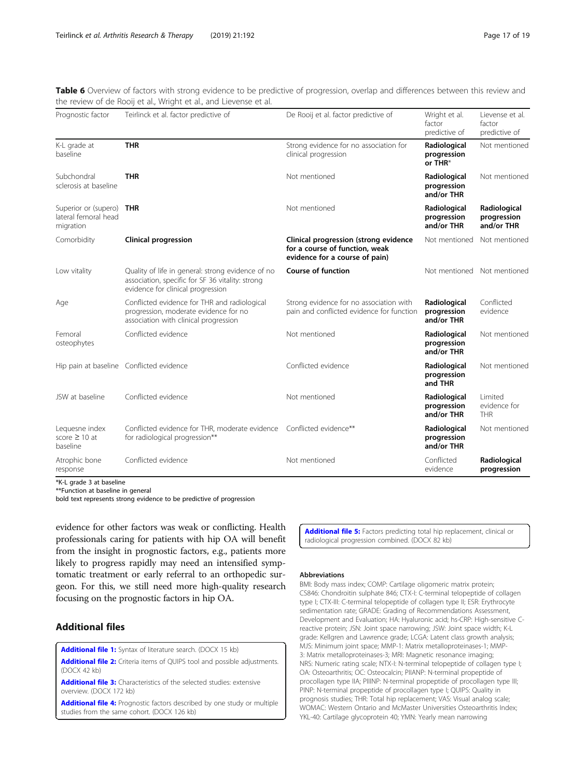<span id="page-16-0"></span>Table 6 Overview of factors with strong evidence to be predictive of progression, overlap and differences between this review and the review of de Rooij et al., Wright et al., and Lievense et al.

| Prognostic factor                                         | Teirlinck et al. factor predictive of                                                                                                      | De Rooij et al. factor predictive of                                                                      | Wright et al.<br>factor<br>predictive of  | Lievense et al.<br>factor<br>predictive of |
|-----------------------------------------------------------|--------------------------------------------------------------------------------------------------------------------------------------------|-----------------------------------------------------------------------------------------------------------|-------------------------------------------|--------------------------------------------|
| K-L grade at<br>baseline                                  | <b>THR</b>                                                                                                                                 | Strong evidence for no association for<br>clinical progression                                            | Radiological<br>progression<br>or THR*    | Not mentioned                              |
| Subchondral<br>sclerosis at baseline                      | <b>THR</b>                                                                                                                                 | Not mentioned                                                                                             | Radiological<br>progression<br>and/or THR | Not mentioned                              |
| Superior or (supero)<br>lateral femoral head<br>migration | <b>THR</b>                                                                                                                                 | Not mentioned                                                                                             | Radiological<br>progression<br>and/or THR | Radiological<br>progression<br>and/or THR  |
| Comorbidity                                               | <b>Clinical progression</b>                                                                                                                | Clinical progression (strong evidence<br>for a course of function, weak<br>evidence for a course of pain) | Not mentioned                             | Not mentioned                              |
| Low vitality                                              | Quality of life in general: strong evidence of no<br>association, specific for SF 36 vitality: strong<br>evidence for clinical progression | <b>Course of function</b>                                                                                 | Not mentioned                             | Not mentioned                              |
| Age                                                       | Conflicted evidence for THR and radiological<br>progression, moderate evidence for no<br>association with clinical progression             | Strong evidence for no association with<br>pain and conflicted evidence for function                      | Radiological<br>progression<br>and/or THR | Conflicted<br>evidence                     |
| Femoral<br>osteophytes                                    | Conflicted evidence                                                                                                                        | Not mentioned                                                                                             | Radiological<br>progression<br>and/or THR | Not mentioned                              |
|                                                           | Hip pain at baseline Conflicted evidence                                                                                                   | Conflicted evidence                                                                                       | Radiological<br>progression<br>and THR    | Not mentioned                              |
| JSW at baseline                                           | Conflicted evidence                                                                                                                        | Not mentioned                                                                                             | Radiological<br>progression<br>and/or THR | I imited<br>evidence for<br>THR            |
| Lequesne index<br>score $\geq$ 10 at<br>baseline          | Conflicted evidence for THR, moderate evidence<br>for radiological progression**                                                           | Conflicted evidence**                                                                                     | Radiological<br>progression<br>and/or THR | Not mentioned                              |
| Atrophic bone<br>response                                 | Conflicted evidence                                                                                                                        | Not mentioned                                                                                             | Conflicted<br>evidence                    | Radiological<br>progression                |

\*K-L grade 3 at baseline

\*\*Function at baseline in general

bold text represents strong evidence to be predictive of progression

evidence for other factors was weak or conflicting. Health professionals caring for patients with hip OA will benefit from the insight in prognostic factors, e.g., patients more likely to progress rapidly may need an intensified symptomatic treatment or early referral to an orthopedic surgeon. For this, we still need more high-quality research focusing on the prognostic factors in hip OA.

# Additional files

[Additional file 1:](https://doi.org/10.1186/s13075-019-1969-9) Syntax of literature search. (DOCX 15 kb)

[Additional file 2:](https://doi.org/10.1186/s13075-019-1969-9) Criteria items of QUIPS tool and possible adjustments. (DOCX 42 kb)

[Additional file 3:](https://doi.org/10.1186/s13075-019-1969-9) Characteristics of the selected studies: extensive overview. (DOCX 172 kb)

[Additional file 4:](https://doi.org/10.1186/s13075-019-1969-9) Prognostic factors described by one study or multiple studies from the same cohort. (DOCX 126 kb)

[Additional file 5:](https://doi.org/10.1186/s13075-019-1969-9) Factors predicting total hip replacement, clinical or radiological progression combined. (DOCX 82 kb)

### Abbreviations

BMI: Body mass index; COMP: Cartilage oligomeric matrix protein; CS846: Chondroitin sulphate 846; CTX-I: C-terminal telopeptide of collagen type I; CTX-III: C-terminal telopeptide of collagen type II; ESR: Erythrocyte sedimentation rate; GRADE: Grading of Recommendations Assessment, Development and Evaluation; HA: Hyaluronic acid; hs-CRP: High-sensitive Creactive protein; JSN: Joint space narrowing; JSW: Joint space width; K-L grade: Kellgren and Lawrence grade; LCGA: Latent class growth analysis; MJS: Minimum joint space; MMP-1: Matrix metalloproteinases-1; MMP-3: Matrix metalloproteinases-3; MRI: Magnetic resonance imaging; NRS: Numeric rating scale; NTX-I: N-terminal telopeptide of collagen type I; OA: Osteoarthritis; OC: Osteocalcin; PIIANP: N-terminal propeptide of procollagen type IIA; PIIINP: N-terminal propeptide of procollagen type III; PINP: N-terminal propeptide of procollagen type I; QUIPS: Quality in prognosis studies; THR: Total hip replacement; VAS: Visual analog scale; WOMAC: Western Ontario and McMaster Universities Osteoarthritis Index; YKL-40: Cartilage glycoprotein 40; YMN: Yearly mean narrowing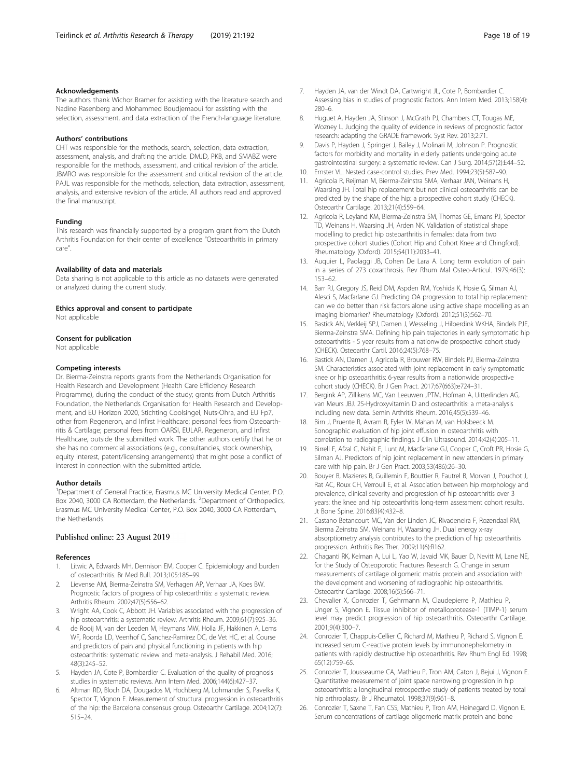### <span id="page-17-0"></span>Acknowledgements

The authors thank Wichor Bramer for assisting with the literature search and Nadine Rasenberg and Mohammed Boudjemaoui for assisting with the selection, assessment, and data extraction of the French-language literature.

### Authors' contributions

CHT was responsible for the methods, search, selection, data extraction, assessment, analysis, and drafting the article. DMJD, PKB, and SMABZ were responsible for the methods, assessment, and critical revision of the article. JBMRO was responsible for the assessment and critical revision of the article. PAJL was responsible for the methods, selection, data extraction, assessment, analysis, and extensive revision of the article. All authors read and approved the final manuscript.

### Funding

This research was financially supported by a program grant from the Dutch Arthritis Foundation for their center of excellence "Osteoarthritis in primary care".

### Availability of data and materials

Data sharing is not applicable to this article as no datasets were generated or analyzed during the current study.

### Ethics approval and consent to participate

Not applicable

### Consent for publication

Not applicable

### Competing interests

Dr. Bierma-Zeinstra reports grants from the Netherlands Organisation for Health Research and Development (Health Care Efficiency Research Programme), during the conduct of the study; grants from Dutch Arthritis Foundation, the Netherlands Organisation for Health Research and Development, and EU Horizon 2020, Stichting Coolsingel, Nuts-Ohra, and EU Fp7, other from Regeneron, and Infirst Healthcare; personal fees from Osteoarthritis & Cartilage; personal fees from OARSI, EULAR, Regeneron, and Infirst Healthcare, outside the submitted work. The other authors certify that he or she has no commercial associations (e.g., consultancies, stock ownership, equity interest, patent/licensing arrangements) that might pose a conflict of interest in connection with the submitted article.

### Author details

<sup>1</sup>Department of General Practice, Erasmus MC University Medical Center, P.O. Box 2040, 3000 CA Rotterdam, the Netherlands. <sup>2</sup>Department of Orthopedics, Erasmus MC University Medical Center, P.O. Box 2040, 3000 CA Rotterdam, the Netherlands.

### Published online: 23 August 2019

#### References

- 1. Litwic A, Edwards MH, Dennison EM, Cooper C. Epidemiology and burden of osteoarthritis. Br Med Bull. 2013;105:185–99.
- 2. Lievense AM, Bierma-Zeinstra SM, Verhagen AP, Verhaar JA, Koes BW. Prognostic factors of progress of hip osteoarthritis: a systematic review. Arthritis Rheum. 2002;47(5):556–62.
- Wright AA, Cook C, Abbott JH. Variables associated with the progression of hip osteoarthritis: a systematic review. Arthritis Rheum. 2009;61(7):925–36.
- de Rooij M, van der Leeden M, Heymans MW, Holla JF, Hakkinen A, Lems WF, Roorda LD, Veenhof C, Sanchez-Ramirez DC, de Vet HC, et al. Course and predictors of pain and physical functioning in patients with hip osteoarthritis: systematic review and meta-analysis. J Rehabil Med. 2016; 48(3):245–52.
- 5. Hayden JA, Cote P, Bombardier C. Evaluation of the quality of prognosis studies in systematic reviews. Ann Intern Med. 2006;144(6):427–37.
- 6. Altman RD, Bloch DA, Dougados M, Hochberg M, Lohmander S, Pavelka K, Spector T, Vignon E. Measurement of structural progression in osteoarthritis of the hip: the Barcelona consensus group. Osteoarthr Cartilage. 2004;12(7): 515–24.
- 8. Huguet A, Hayden JA, Stinson J, McGrath PJ, Chambers CT, Tougas ME, Wozney L. Judging the quality of evidence in reviews of prognostic factor research: adapting the GRADE framework. Syst Rev. 2013;2:71.
- Davis P, Hayden J, Springer J, Bailey J, Molinari M, Johnson P. Prognostic factors for morbidity and mortality in elderly patients undergoing acute gastrointestinal surgery: a systematic review. Can J Surg. 2014;57(2):E44–52.
- 10. Ernster VL. Nested case-control studies. Prev Med. 1994;23(5):587–90.
- 11. Agricola R, Reijman M, Bierma-Zeinstra SMA, Verhaar JAN, Weinans H, Waarsing JH. Total hip replacement but not clinical osteoarthritis can be predicted by the shape of the hip: a prospective cohort study (CHECK). Osteoarthr Cartilage. 2013;21(4):559–64.
- 12. Agricola R, Leyland KM, Bierma-Zeinstra SM, Thomas GE, Emans PJ, Spector TD, Weinans H, Waarsing JH, Arden NK. Validation of statistical shape modelling to predict hip osteoarthritis in females: data from two prospective cohort studies (Cohort Hip and Cohort Knee and Chingford). Rheumatology (Oxford). 2015;54(11):2033–41.
- 13. Auquier L, Paolaggi JB, Cohen De Lara A. Long term evolution of pain in a series of 273 coxarthrosis. Rev Rhum Mal Osteo-Articul. 1979;46(3): 153–62.
- 14. Barr RJ, Gregory JS, Reid DM, Aspden RM, Yoshida K, Hosie G, Silman AJ, Alesci S, Macfarlane GJ. Predicting OA progression to total hip replacement: can we do better than risk factors alone using active shape modelling as an imaging biomarker? Rheumatology (Oxford). 2012;51(3):562–70.
- 15. Bastick AN, Verkleij SPJ, Damen J, Wesseling J, Hilberdink WKHA, Bindels PJE, Bierma-Zeinstra SMA. Defining hip pain trajectories in early symptomatic hip osteoarthritis - 5 year results from a nationwide prospective cohort study (CHECK). Osteoarthr Cartil. 2016;24(5):768–75.
- 16. Bastick AN, Damen J, Agricola R, Brouwer RW, Bindels PJ, Bierma-Zeinstra SM. Characteristics associated with joint replacement in early symptomatic knee or hip osteoarthritis: 6-year results from a nationwide prospective cohort study (CHECK). Br J Gen Pract. 2017;67(663):e724–31.
- 17. Bergink AP, Zillikens MC, Van Leeuwen JPTM, Hofman A, Uitterlinden AG, van Meurs JBJ. 25-Hydroxyvitamin D and osteoarthritis: a meta-analysis including new data. Semin Arthritis Rheum. 2016;45(5):539–46.
- 18. Birn J, Pruente R, Avram R, Eyler W, Mahan M, van Holsbeeck M. Sonographic evaluation of hip joint effusion in osteoarthritis with correlation to radiographic findings. J Clin Ultrasound. 2014;42(4):205–11.
- 19. Birrell F, Afzal C, Nahit E, Lunt M, Macfarlane GJ, Cooper C, Croft PR, Hosie G, Silman AJ. Predictors of hip joint replacement in new attenders in primary care with hip pain. Br J Gen Pract. 2003;53(486):26–30.
- 20. Bouyer B, Mazieres B, Guillemin F, Bouttier R, Fautrel B, Morvan J, Pouchot J, Rat AC, Roux CH, Verrouil E, et al. Association between hip morphology and prevalence, clinical severity and progression of hip osteoarthritis over 3 years: the knee and hip osteoarthritis long-term assessment cohort results. Jt Bone Spine. 2016;83(4):432–8.
- 21. Castano Betancourt MC, Van der Linden JC, Rivadeneira F, Rozendaal RM, Bierma Zeinstra SM, Weinans H, Waarsing JH. Dual energy x-ray absorptiometry analysis contributes to the prediction of hip osteoarthritis progression. Arthritis Res Ther. 2009;11(6):R162.
- 22. Chaganti RK, Kelman A, Lui L, Yao W, Javaid MK, Bauer D, Nevitt M, Lane NE, for the Study of Osteoporotic Fractures Research G. Change in serum measurements of cartilage oligomeric matrix protein and association with the development and worsening of radiographic hip osteoarthritis. Osteoarthr Cartilage. 2008;16(5):566–71.
- 23. Chevalier X, Conrozier T, Gehrmann M, Claudepierre P, Mathieu P, Unger S, Vignon E. Tissue inhibitor of metalloprotease-1 (TIMP-1) serum level may predict progression of hip osteoarthritis. Osteoarthr Cartilage. 2001;9(4):300–7.
- 24. Conrozier T, Chappuis-Cellier C, Richard M, Mathieu P, Richard S, Vignon E. Increased serum C-reactive protein levels by immunonephelometry in patients with rapidly destructive hip osteoarthritis. Rev Rhum Engl Ed. 1998; 65(12):759–65.
- 25. Conrozier T, Jousseaume CA, Mathieu P, Tron AM, Caton J, Bejui J, Vignon E. Quantitative measurement of joint space narrowing progression in hip osteoarthritis: a longitudinal retrospective study of patients treated by total hip arthroplasty. Br J Rheumatol. 1998;37(9):961–8.
- 26. Conrozier T, Saxne T, Fan CSS, Mathieu P, Tron AM, Heinegard D, Vignon E. Serum concentrations of cartilage oligomeric matrix protein and bone